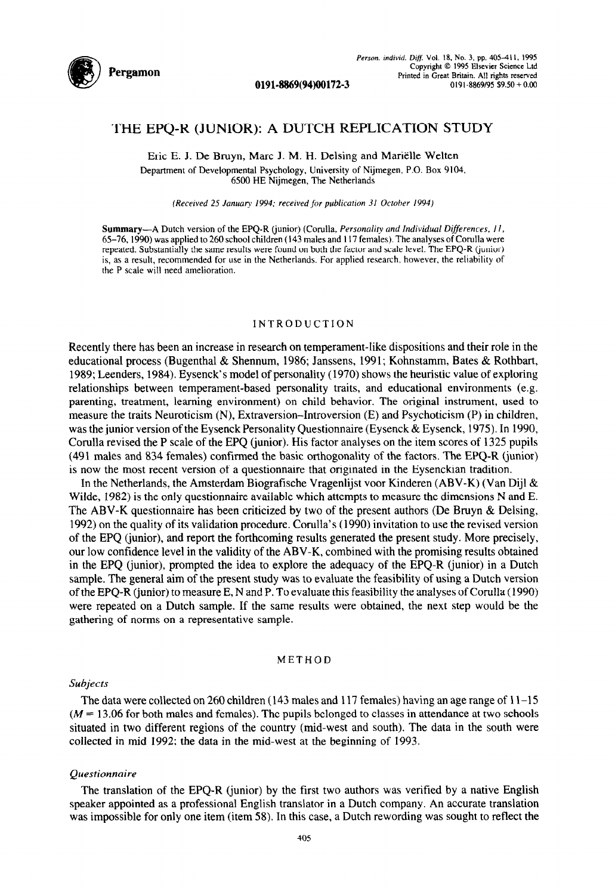

# **THE EPQ-R (JUNIOR): A DUTCH REPLICATION STUDY**

0191-8869(94)00172-3

Eric E. I. De Bruyn, Marc I. M. H. Delsing and Marielle Welten Department of Developmental Psychology, University of Nijmegen. P.O. Box 9104, 6500 HE Nijmegen, The Netherlands

*(Received 25 January 1994: received for publication 3/ October 1994)* 

Summary-A Dutch version of the EPO-R (junior) (Corulla, *Personality and Individual Differences, 11*, *65-76.1990)* was applied to 260 school children (143 males and I 17 females). The analyses of Corulla were repeated. Substantially the same results were found on both the factor and scale level. The EPQ-R (junior) is, as a result, recommended for use in the Netherlands. For applied research. however, the reliability of the P scale will need amelioration.

# INTRODUCTION

Recently there has been an increase in research on temperament-like dispositions and their role in the educational process (Bugenthal & Shennum, 1986; Janssens, 1991; Kohnstamm, Bates & Rothbart, 1989; Leenders, 1984). Eysenck's model of personality (1970) shows the heuristic value of exploring relationships between temperament-based personality traits, and educational environments (e.g. parenting, treatment, learning environment) on child behavior. The original instrument, used to measure the traits Neuroticism (N), Extraversion-Introversion (E) and Psychoticism (P) in children, was the junior version of the Eysenck Personality Questionnaire (Eysenck & Eysenck, 1975). In 1990, Corulla revised the P scale of the EPQ (junior). His factor analyses on the item scores of 1325 pupils (491 males and 834 females) confirmed the basic orthogonality of the factors. The EPQ-R (junior) is now the most recent version of a questionnaire that originated in the Eysenckian tradition.

In the Netherlands, the Amsterdam Biografische Vragenlijst voor Kinderen (ABV-K) (Van Dijl & Wilde, 1982) is the only questionnaire available which attempts to measure the dimensions N and E. The ABV-K questionnaire has been criticized by two of the present authors (De Bruyn & Delsing, 1992) on the quality of its validation procedure. Corulla's (1990) invitation to use the revised version of the EPQ (junior), and report the forthcoming results generated the present study. More precisely, our low confidence level in the validity of the ABV-K, combined with the promising results obtained in the EPQ (junior), prompted the idea to explore the adequacy of the EPQ-R (junior) in a Dutch sample. The general aim of the present study was to evaluate the feasibility of using a Dutch version of the EPQ-R (junior) to measure E, N and P. To evaluate this feasibility the analyses of Corulla (1990) were repeated on a Dutch sample. If the same results were obtained, the next step would be the gathering of norms on a representative sample.

## METHOD

### *Subjects*

The data were collected on 260 children (143 males and 117 females) having an age range of  $11-15$  $(M = 13.06$  for both males and females). The pupils belonged to classes in attendance at two schools situated in two different regions of the country (mid-west and south). The data in the south were collected in mid 1992; the data in the mid-west at the beginning of 1993.

#### *Questionnaire*

The translation of the EPQ-R (junior) by the first two authors was verified by a native English speaker appointed as a professional English translator in a Dutch company. An accurate translation was impossible for only one item (item 58). In this case, a Dutch rewording was sought to reflect the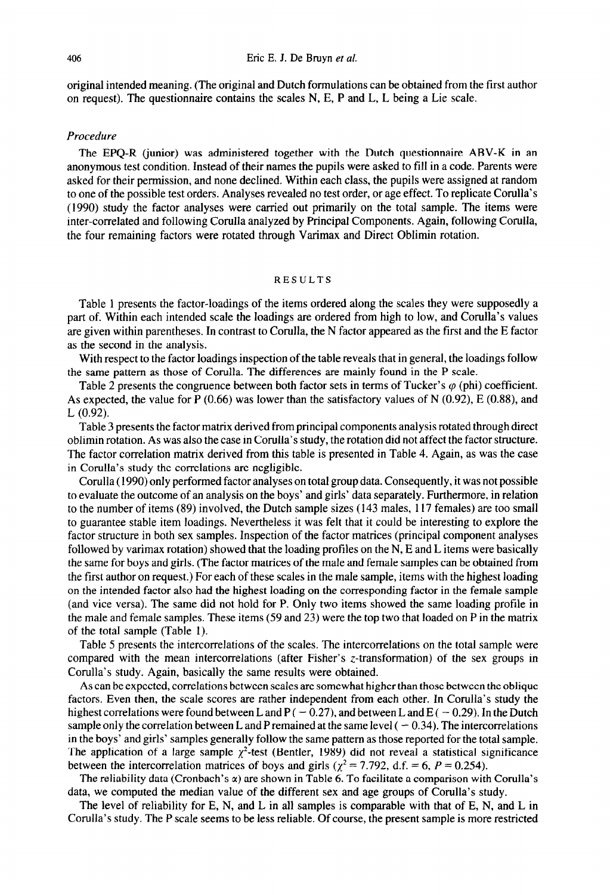original intended meaning. (The original and Dutch formulations can be obtained from the first author on request). The questionnaire contains the scales N, E, P and L, L being a Lie scale.

# *Procedure*

The EPQ-R (junior) was administered together with the Dutch questionnaire ABV-K in an anonymous test condition. Instead of their names the pupils were asked to fill in a code. Parents were asked for their permission, and none declined. Within each class, the pupils were assigned at random to one of the possible test orders. Analyses revealed no test order, or age effect. To replicate Corulla's (1990) study the factor analyses were carried out primarily on the total sample. The items were inter-correlated and following Corulla analyzed by Principal Components. Again, following Corulla, the four remaining factors were rotated through Varimax and Direct Oblimin rotation.

# RESULTS

Table 1 presents the factor-loadings of the items ordered along the scales they were supposedly a part of. Within each intended scale the loadings are ordered from high to low, and Corulla's values are given within parentheses. In contrast to Corulla, the N factor appeared as the first and the E factor as the second in the analysis.

With respect to the factor loadings inspection of the table reveals that in general, the loadings follow the same pattern as those of Corulla. The differences are mainly found in the P scale.

Table 2 presents the congruence between both factor sets in terms of Tucker's  $\varphi$  (phi) coefficient. As expected, the value for P  $(0.66)$  was lower than the satisfactory values of N  $(0.92)$ , E  $(0.88)$ , and L (0.92).

Table 3 presents the factor matrix derived from principal components analysis rotated through direct oblimin rotation. As was also the case in Corulla's study, the rotation did not affect the factor structure. The factor correlation matrix derived from this table is presented in Table 4. Again, as was the case in Corulla's study the correlations are negligible.

Corulla (1990) only performed factor analyses on total group data. Consequently, it was not possible to evaluate the outcome of an analysis on the boys' and girls' data separately. Furthermore, in relation to the number of items (89) involved, the Dutch sample sizes (143 males, 117 females) are too small to guarantee stable item loadings. Nevertheless it was felt that it could be interesting to explore the factor structure in both sex samples. Inspection of the factor matrices (principal component analyses followed by varimax rotation) showed that the loading profiles on the N, E and L items were basically the same for boys and girls. (The factor matrices of the male and female samples can be obtained from the first author on request.) For each of these scales in the male sample, items with the highest loading on the intended factor also had the highest loading on the corresponding factor in the female sample (and vice versa). The same did not hold for P. Only two items showed the same loading profile in the male and female samples. These items (59 and 23) were the top two that loaded on P in the matrix of the total sample (Table 1).

Table 5 presents the intercorrelations of the scales. The intercorrelations on the total sample were compared with the mean intercorrelations (after Fisher's z-transformation) of the sex groups in Corulla's study. Again, basically the same results were obtained.

As can be expected, correlations between scales are somewhat higher than those between the oblique factors. Even then, the scale scores are rather independent from each other. In Corulla's study the highest correlations were found between L and P ( $-0.27$ ), and between L and E ( $-0.29$ ). In the Dutch sample only the correlation between L and P remained at the same level  $(-0.34)$ . The intercorrelations in the boys' and girls' samples generally follow the same pattern as those reported for the total sample. The application of a large sample  $\chi^2$ -test (Bentler, 1989) did not reveal a statistical significance between the intercorrelation matrices of boys and girls ( $\chi^2$  = 7.792, d.f. = 6, *P* = 0.254).

The reliability data (Cronbach's  $\alpha$ ) are shown in Table 6. To facilitate a comparison with Corulla's data, we computed the median value of the different sex and age groups of Corulla's study.

The level of reliability for E, N, and L in all samples is comparable with that of E, N, and L in Corulla's study. The P scale seems to be less reliable. Of course, the present sample is more restricted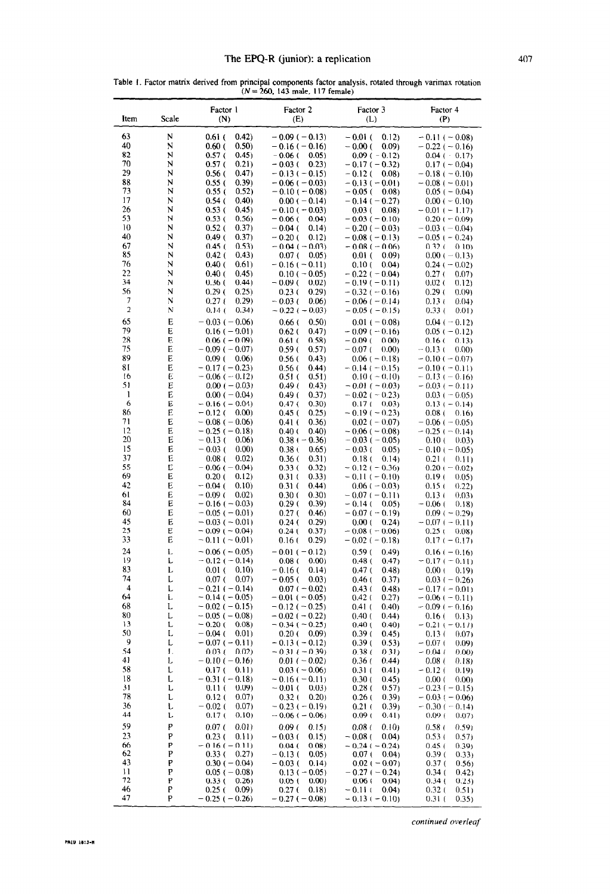|  |  |  | Table 1. Factor matrix derived from principal components factor analysis, rotated through varimax rotation |  |  |  |
|--|--|--|------------------------------------------------------------------------------------------------------------|--|--|--|
|  |  |  | $(N = 260, 143$ male, 117 female)                                                                          |  |  |  |
|  |  |  |                                                                                                            |  |  |  |

| Factor 1<br>Factor 4<br>Factor 2<br>Factor 3<br>Scale<br>Item<br>(N)<br>(E)<br>(P)<br>(L)<br>63<br>N<br>$0.61$ (<br>(0.42)<br>$-0.09(-0.13)$<br>$-0.01$ (<br>0.12)<br>$-0.11 (-0.08)$<br>40<br>N<br>0.50)<br>0.60(<br>$-0.16(-0.16)$<br>$-0.00($<br>0.09<br>$-0.22(-0.16)$<br>82<br>N<br>0.57(<br>0.45)<br>$-0.06$ (<br>0.05)<br>$-0.09(-0.12)$<br>$0.04 (-0.17)$<br>70<br>N<br>0.57(<br>0.21)<br>$-0.03$ (<br>0.23)<br>$-0.17(-0.32)$<br>$0.17 (-0.04)$<br>29<br>N<br>$0.56$ (<br>(0.47)<br>$-0.13(-0.15)$<br>$-0.12$ (<br>0.08<br>$-0.18$ ( $-0.10$ )<br>88<br>N<br>0.55(<br>(0.39)<br>$-0.06$ ( $-0.03$ )<br>$-0.13(-0.01)$<br>$-0.08 (-0.01)$<br>73<br>N<br>0.55 (<br>0.52)<br>$-0.10(-0.08)$<br>$-0.05$ (<br>(0.08)<br>$0.05$ ( $-0.04$ )<br>17<br>N<br>0.40)<br>0.54 (<br>$0.00 (-0.14)$<br>$-0.14(-0.27)$<br>$0.00 (-0.10)$<br>26<br>N<br>0.53(<br>0.45)<br>$-0.10(-0.03)$<br>0.03(<br>(0.08)<br>$-0.01 (-1.17)$<br>53<br>N<br>0.53(<br>0.56)<br>$-0.06$ (<br>0.04)<br>$-0.03(-0.10)$<br>$0.20 (-0.09)$<br>10<br>N<br>0.37)<br>0.52(<br>$-0.04$ (<br>0.14)<br>$-0.20(-0.03)$<br>$-0.03(-0.04)$<br>40<br>N<br>0.49(<br>0.37)<br>$-0.20$ (<br>0.12)<br>$-0.08$ ( $-0.13$ )<br>$-0.05$ ( $-0.24$ )<br>67<br>N<br>0.53)<br>0.45(<br>$-0.04$ ( $-0.03$ )<br>$0.32$ (<br>$-0.08$ ( $-0.06$ )<br>0.10<br>85<br>N<br>$0.42$ (<br>(0.43)<br>0.07(<br>0.05)<br>$0.00 (-0.13)$<br>0.01(<br>0.09<br>76<br>N<br>0.40(<br>0.61)<br>$-0.16(-0.11)$<br>0.10(<br>$0.24(-0.02)$<br>0.04)<br>22<br>N<br>0.40(<br>0.45)<br>$0.10 (-0.05)$<br>$-0.22$ ( $-0.04$ )<br>0.27(<br>0.07)<br>34<br>N<br>0.36(<br>(0.44)<br>$-0.09$ (<br>$-0.19(-0.11)$<br>0.02(<br>0.02)<br>0.12)<br>56<br>N<br>0.29(<br>0.25)<br>0.23(<br>0.29)<br>$-0.32(-0.16)$<br>0.29(<br>(0.09)<br>7<br>N<br>0.27(<br>0.29)<br>$-0.03$ (<br>0.06<br>$-0.06$ ( $-0.14$ )<br>0.13(<br>0.04)<br>$\overline{a}$<br>N<br>0.14(<br>0.34)<br>$-0.22$ ( $-0.03$ )<br>$-0.05$ ( $-0.15$ )<br>0.33(<br>0.01)<br>65<br>E<br>$-0.03(-0.06)$<br>0.66(<br>0.50)<br>$0.01 (-0.08)$<br>$0.04 (-0.12)$<br>79<br>E<br>0.62(<br>(0.47)<br>$0.16(-0.01)$<br>$-0.09(-0.16)$<br>$0.05 (-0.12)$<br>28<br>E<br>$0.06$ ( $-0.09$ )<br>0.61(<br>0.58)<br>$-0.09$ (<br>0.00)<br>0.16(<br>0.13<br>75<br>Е<br>$-0.09$ ( $-0.07$ )<br>0.59(<br>0.57)<br>$-0.07$ (<br>(0.00)<br>$-0.13($<br>0.00<br>89<br>Е<br>$0.09$ (<br>0.06)<br>0.56(<br>(0.43)<br>$0.06$ ( $-0.18$ )<br>$-0.10(-0.07)$<br>81<br>E<br>0.56(<br>0.44)<br>$-0.17(-0.23)$<br>$-0.14$ ( $-0.15$ )<br>$-0.10(-0.11)$<br>E<br>16<br>$-0.06$ ( $-0.12$ )<br>0.51(<br>0.51)<br>$0.10 (-0.10)$<br>$-0.13(-0.16)$<br>51<br>E<br>$0.00 (-0.03)$<br>0.49(<br>(0.43)<br>$-0.01(-0.03)$<br>$-0.03(-0.11)$<br>1<br>Е<br>0.49(<br>0.37)<br>$0.00 (-0.04)$<br>$-0.02$ ( $-0.23$ )<br>$0.03 (-0.05)$<br>6<br>E<br>$-0.16$ ( $-0.04$ )<br>0.47(<br>0.30)<br>$0.17(-0.03)$<br>$0.13 (-0.14)$<br>86<br>E<br>$-0.12$ (<br>0.45(<br>0.25)<br>$-0.19(-0.23)$<br>0.00)<br>$0.08$ (<br>0.16)<br>71<br>E<br>0.36)<br>$-0.08$ ( $-0.06$ )<br>0.41(<br>$0.02 (-0.07)$<br>$-0.06$ ( $-0.05$ )<br>12<br>Е<br>$-0.25$ ( $-0.18$ )<br>0.40(<br>0.40)<br>$-0.06$ ( $-0.08$ )<br>$-0.25$ ( $-0.14$ )<br>20<br>Е<br>$-0.13$ (<br>0.06)<br>$0.38(-0.36)$<br>$-0.03$ ( $-0.05$ )<br>0.10(<br>(0.03)<br>E<br>15<br>$-0.03$ (<br>0.00)<br>0.38(<br>0.65)<br>$-0.03$ (<br>0.05)<br>$-0.10 (-0.05)$<br>37<br>E<br>0.08(<br>0.02)<br>0.36 <sub>0</sub><br>0.31)<br>0.18(<br>(0.14)<br>0.21(<br>0.11)<br>55<br>Е<br>$-0.06$ ( $-0.04$ )<br>0.33(<br>0.32)<br>$-0.12$ ( $-0.36$ )<br>$0.20 (-0.02)$<br>69<br>Е<br>0.33)<br>0.20(j)<br>0.12)<br>0.31(<br>$-0.11(-0.10)$<br>0.19(<br>0.05)<br>42<br>E<br>$-0.04$ (<br>0.10)<br>0.31(<br>0.44)<br>$0.06 (-0.03)$<br>0.15(<br>(0.22)<br>61<br>E<br>$-0.09$ (<br>0.02)<br>0.30(<br>0.30)<br>$-0.07(-0.11)$<br>0.13(<br>0.03<br>84<br>E<br>0.29(<br>$-0.16(-0.03)$<br>0.39)<br>$-0.14$ (<br>0.05)<br>$-0.06$ (<br>0.18)<br>E<br>60<br>$-0.05$ ( $-0.01$ )<br>0.27(<br>0.46)<br>$-0.07(-0.19)$<br>$0.09 (-0.29)$<br>E<br>45<br>$-0.03(-0.01)$<br>0.24(<br>0.29)<br>0.00(<br>0.24<br>$-0.07(-0.11)$<br>25<br>E<br>$-0.09$ ( $-0.04$ )<br>0.24(<br>0.37)<br>$-0.08$ ( $-0.06$ )<br>$0.25$ (<br>0.08<br>33<br>Е<br>$-0.11 (-0.01)$<br>0.16(<br>(0.29)<br>$-0.02$ ( $-0.18$ )<br>$0.17(-0.17)$<br>24<br>L<br>$-0.06(-0.05)$<br>$-0.01(-0.12)$<br>0.59(<br>(0.49)<br>$0.16(-0.16)$<br>19<br>L<br>$-0.12(-0.14)$<br>0.08(<br>0.00)<br>0.48(<br>(0.47)<br>$-0.17(-0.11)$<br>83<br>L<br>$0.01$ (<br>0.10)<br>0.14)<br>$-0.16$ (<br>0.47 <sub>0</sub><br>(0.48)<br>0.00(<br>0.19<br>74<br>L<br>0.07(<br>0.07)<br>$-0.05$ (<br>0.03)<br>0.46(<br>0.37)<br>$0.03 (-0.26)$<br>$\overline{\mathcal{L}}$<br>L<br>$-0.21(-0.14)$<br>$0.07 (-0.02)$<br>0.48<br>0.43(<br>$-0.17(-0.01)$<br>64<br>L<br>$-0.14$ ( $-0.05$ )<br>$-0.01$ ( $-0.05$ )<br>$0.42$ (<br>0.27)<br>$-0.06$ ( $-0.11$ )<br>68<br>L<br>$-0.02$ ( $-0.15$ )<br>$-0.12(-0.25)$<br>0.41(<br>0.40<br>$-0.09(-0.16)$<br>80<br>L<br>$-0.05$ ( $-0.08$ )<br>(0.44)<br>$-0.02$ ( $-0.22$ )<br>0.40(<br>0.16(<br>0.13)<br>13<br>L<br>$-0.20$ (<br>0.08<br>$-0.34$ ( $-0.25$ )<br>0.40<br>0.40(<br>$-0.21(-0.17)$<br>50<br>L<br>$-0.04$ (<br>0.01<br>0.20(<br>(0.09)<br>0.39(<br>0.45)<br>0.13(<br>0.07<br>9<br>L<br>$-0.07(-0.11)$<br>$-0.13(-0.12)$<br>0.53)<br>0.39(<br>$-0.07$ (<br>0.09)<br>54<br>L<br>0.03(<br>0.02)<br>$-0.31(-0.39)$<br>0.38(<br>0.31)<br>$-0.04($<br>0.00)<br>41<br>L<br>$-0.10(-0.16)$<br>$0.01 (-0.02)$<br>0.36(<br>(0.44)<br>0.08(<br>0.18)<br>58<br>ι<br>0.17(<br>0.11)<br>$0.03(-0.06)$<br>0.31(<br>(0.41)<br>$-0.12$ (<br>0.19)<br>18<br>L<br>$-0.31(-0.18)$<br>$-0.16(-0.11)$<br>0.30(<br>0.45)<br>0.00(<br>0.00<br>31<br>L<br>0.11(<br>(0.09)<br>$-0.01$ (<br>0.03)<br>0.28(<br>(0.57)<br>$-0.23(-0.15)$<br>78<br>L<br>0.12(<br>0.07)<br>0.32(<br>0.20<br>0.26(<br>(0.39)<br>$-0.03(-0.06)$<br>36<br>ι<br>$-0.02$ (<br>0.07)<br>$-0.23(-0.19)$<br>$0.21$ (<br>0.39<br>$-0.30(-0.14)$<br>44<br>L<br>0.17(<br>0.10)<br>$-0.06(-0.06)$<br>0.09(<br>0.41)<br>0.09(<br>0.07<br>59<br>P<br>0.07(<br>0.01)<br>0.08(<br>0.10<br>0.09(<br>0.15)<br>0.58 <sub>0</sub><br>0.59<br>23<br>P<br>0.23(<br>0.11)<br>$-0.03$ (<br>0.15)<br>$-0.08$ (<br>0.04<br>0.53(<br>0.57)<br>66<br>P<br>$-0.16(-0.11)$<br>$-0.24(-0.24)$<br>0.04(<br>0.08<br>0.45(<br>0.39 <sub>1</sub><br>62<br>P<br>0.33(<br>0.27)<br>$-0.13($<br>0.05)<br>0.07(<br>0.04<br>0.39(<br>(0.33)<br>43<br>P<br>$0.30(-0.04)$<br>$0.02 (-0.07)$<br>$-0.03$ (<br>0.14)<br>0.37(<br>0.56)<br>11<br>P<br>$0.05$ ( $-0.08$ )<br>$-0.27(-0.24)$<br>$0.13 (-0.05)$<br>0.34(<br>(0, 42)<br>72<br>P<br>0.33(<br>0.06(<br>0.34(<br>0.26)<br>0.05(<br>0.00)<br>0.04<br>0,23)<br>46<br>P<br>0.27(<br>0.25(<br>(0.09)<br>0.18)<br>$-0.11$ (<br>0.04<br>0.32 (<br>0.51)<br>47<br>P<br>$-0.13$ ( $-0.10$ ) |  |                    | w,<br>$1.72$ mass, $1.1$ is $1.1$ |  |                |  |
|-----------------------------------------------------------------------------------------------------------------------------------------------------------------------------------------------------------------------------------------------------------------------------------------------------------------------------------------------------------------------------------------------------------------------------------------------------------------------------------------------------------------------------------------------------------------------------------------------------------------------------------------------------------------------------------------------------------------------------------------------------------------------------------------------------------------------------------------------------------------------------------------------------------------------------------------------------------------------------------------------------------------------------------------------------------------------------------------------------------------------------------------------------------------------------------------------------------------------------------------------------------------------------------------------------------------------------------------------------------------------------------------------------------------------------------------------------------------------------------------------------------------------------------------------------------------------------------------------------------------------------------------------------------------------------------------------------------------------------------------------------------------------------------------------------------------------------------------------------------------------------------------------------------------------------------------------------------------------------------------------------------------------------------------------------------------------------------------------------------------------------------------------------------------------------------------------------------------------------------------------------------------------------------------------------------------------------------------------------------------------------------------------------------------------------------------------------------------------------------------------------------------------------------------------------------------------------------------------------------------------------------------------------------------------------------------------------------------------------------------------------------------------------------------------------------------------------------------------------------------------------------------------------------------------------------------------------------------------------------------------------------------------------------------------------------------------------------------------------------------------------------------------------------------------------------------------------------------------------------------------------------------------------------------------------------------------------------------------------------------------------------------------------------------------------------------------------------------------------------------------------------------------------------------------------------------------------------------------------------------------------------------------------------------------------------------------------------------------------------------------------------------------------------------------------------------------------------------------------------------------------------------------------------------------------------------------------------------------------------------------------------------------------------------------------------------------------------------------------------------------------------------------------------------------------------------------------------------------------------------------------------------------------------------------------------------------------------------------------------------------------------------------------------------------------------------------------------------------------------------------------------------------------------------------------------------------------------------------------------------------------------------------------------------------------------------------------------------------------------------------------------------------------------------------------------------------------------------------------------------------------------------------------------------------------------------------------------------------------------------------------------------------------------------------------------------------------------------------------------------------------------------------------------------------------------------------------------------------------------------------------------------------------------------------------------------------------------------------------------------------------------------------------------------------------------------------------------------------------------------------------------------------------------------------------------------------------------------------------------------------------------------------------------------------------------------------------------------------------------------------------------------------------------------------------------------------------------------------------------------------------------------------------------------------------------------------------------------------------------------------------------------------------------------------------------------------------------------------------------------------------------------------------------------------------------------------------------------------------------------------------------------------------------------------------------------------------------------------------------------------------------------------------------------------------------------------------------------------------------------------------------------------------------------------------------------------------------------------------------------------------------------------------------------------------------------------------------------------------------------------------------------------------------------------------------|--|--------------------|-----------------------------------|--|----------------|--|
|                                                                                                                                                                                                                                                                                                                                                                                                                                                                                                                                                                                                                                                                                                                                                                                                                                                                                                                                                                                                                                                                                                                                                                                                                                                                                                                                                                                                                                                                                                                                                                                                                                                                                                                                                                                                                                                                                                                                                                                                                                                                                                                                                                                                                                                                                                                                                                                                                                                                                                                                                                                                                                                                                                                                                                                                                                                                                                                                                                                                                                                                                                                                                                                                                                                                                                                                                                                                                                                                                                                                                                                                                                                                                                                                                                                                                                                                                                                                                                                                                                                                                                                                                                                                                                                                                                                                                                                                                                                                                                                                                                                                                                                                                                                                                                                                                                                                                                                                                                                                                                                                                                                                                                                                                                                                                                                                                                                                                                                                                                                                                                                                                                                                                                                                                                                                                                                                                                                                                                                                                                                                                                                                                                                                                                                                                                                                                                                                                                                                                                                                                                                                                                                                                                                                                                                                           |  |                    |                                   |  |                |  |
|                                                                                                                                                                                                                                                                                                                                                                                                                                                                                                                                                                                                                                                                                                                                                                                                                                                                                                                                                                                                                                                                                                                                                                                                                                                                                                                                                                                                                                                                                                                                                                                                                                                                                                                                                                                                                                                                                                                                                                                                                                                                                                                                                                                                                                                                                                                                                                                                                                                                                                                                                                                                                                                                                                                                                                                                                                                                                                                                                                                                                                                                                                                                                                                                                                                                                                                                                                                                                                                                                                                                                                                                                                                                                                                                                                                                                                                                                                                                                                                                                                                                                                                                                                                                                                                                                                                                                                                                                                                                                                                                                                                                                                                                                                                                                                                                                                                                                                                                                                                                                                                                                                                                                                                                                                                                                                                                                                                                                                                                                                                                                                                                                                                                                                                                                                                                                                                                                                                                                                                                                                                                                                                                                                                                                                                                                                                                                                                                                                                                                                                                                                                                                                                                                                                                                                                                           |  |                    |                                   |  |                |  |
|                                                                                                                                                                                                                                                                                                                                                                                                                                                                                                                                                                                                                                                                                                                                                                                                                                                                                                                                                                                                                                                                                                                                                                                                                                                                                                                                                                                                                                                                                                                                                                                                                                                                                                                                                                                                                                                                                                                                                                                                                                                                                                                                                                                                                                                                                                                                                                                                                                                                                                                                                                                                                                                                                                                                                                                                                                                                                                                                                                                                                                                                                                                                                                                                                                                                                                                                                                                                                                                                                                                                                                                                                                                                                                                                                                                                                                                                                                                                                                                                                                                                                                                                                                                                                                                                                                                                                                                                                                                                                                                                                                                                                                                                                                                                                                                                                                                                                                                                                                                                                                                                                                                                                                                                                                                                                                                                                                                                                                                                                                                                                                                                                                                                                                                                                                                                                                                                                                                                                                                                                                                                                                                                                                                                                                                                                                                                                                                                                                                                                                                                                                                                                                                                                                                                                                                                           |  |                    |                                   |  |                |  |
|                                                                                                                                                                                                                                                                                                                                                                                                                                                                                                                                                                                                                                                                                                                                                                                                                                                                                                                                                                                                                                                                                                                                                                                                                                                                                                                                                                                                                                                                                                                                                                                                                                                                                                                                                                                                                                                                                                                                                                                                                                                                                                                                                                                                                                                                                                                                                                                                                                                                                                                                                                                                                                                                                                                                                                                                                                                                                                                                                                                                                                                                                                                                                                                                                                                                                                                                                                                                                                                                                                                                                                                                                                                                                                                                                                                                                                                                                                                                                                                                                                                                                                                                                                                                                                                                                                                                                                                                                                                                                                                                                                                                                                                                                                                                                                                                                                                                                                                                                                                                                                                                                                                                                                                                                                                                                                                                                                                                                                                                                                                                                                                                                                                                                                                                                                                                                                                                                                                                                                                                                                                                                                                                                                                                                                                                                                                                                                                                                                                                                                                                                                                                                                                                                                                                                                                                           |  |                    |                                   |  |                |  |
|                                                                                                                                                                                                                                                                                                                                                                                                                                                                                                                                                                                                                                                                                                                                                                                                                                                                                                                                                                                                                                                                                                                                                                                                                                                                                                                                                                                                                                                                                                                                                                                                                                                                                                                                                                                                                                                                                                                                                                                                                                                                                                                                                                                                                                                                                                                                                                                                                                                                                                                                                                                                                                                                                                                                                                                                                                                                                                                                                                                                                                                                                                                                                                                                                                                                                                                                                                                                                                                                                                                                                                                                                                                                                                                                                                                                                                                                                                                                                                                                                                                                                                                                                                                                                                                                                                                                                                                                                                                                                                                                                                                                                                                                                                                                                                                                                                                                                                                                                                                                                                                                                                                                                                                                                                                                                                                                                                                                                                                                                                                                                                                                                                                                                                                                                                                                                                                                                                                                                                                                                                                                                                                                                                                                                                                                                                                                                                                                                                                                                                                                                                                                                                                                                                                                                                                                           |  |                    |                                   |  |                |  |
|                                                                                                                                                                                                                                                                                                                                                                                                                                                                                                                                                                                                                                                                                                                                                                                                                                                                                                                                                                                                                                                                                                                                                                                                                                                                                                                                                                                                                                                                                                                                                                                                                                                                                                                                                                                                                                                                                                                                                                                                                                                                                                                                                                                                                                                                                                                                                                                                                                                                                                                                                                                                                                                                                                                                                                                                                                                                                                                                                                                                                                                                                                                                                                                                                                                                                                                                                                                                                                                                                                                                                                                                                                                                                                                                                                                                                                                                                                                                                                                                                                                                                                                                                                                                                                                                                                                                                                                                                                                                                                                                                                                                                                                                                                                                                                                                                                                                                                                                                                                                                                                                                                                                                                                                                                                                                                                                                                                                                                                                                                                                                                                                                                                                                                                                                                                                                                                                                                                                                                                                                                                                                                                                                                                                                                                                                                                                                                                                                                                                                                                                                                                                                                                                                                                                                                                                           |  |                    |                                   |  |                |  |
|                                                                                                                                                                                                                                                                                                                                                                                                                                                                                                                                                                                                                                                                                                                                                                                                                                                                                                                                                                                                                                                                                                                                                                                                                                                                                                                                                                                                                                                                                                                                                                                                                                                                                                                                                                                                                                                                                                                                                                                                                                                                                                                                                                                                                                                                                                                                                                                                                                                                                                                                                                                                                                                                                                                                                                                                                                                                                                                                                                                                                                                                                                                                                                                                                                                                                                                                                                                                                                                                                                                                                                                                                                                                                                                                                                                                                                                                                                                                                                                                                                                                                                                                                                                                                                                                                                                                                                                                                                                                                                                                                                                                                                                                                                                                                                                                                                                                                                                                                                                                                                                                                                                                                                                                                                                                                                                                                                                                                                                                                                                                                                                                                                                                                                                                                                                                                                                                                                                                                                                                                                                                                                                                                                                                                                                                                                                                                                                                                                                                                                                                                                                                                                                                                                                                                                                                           |  |                    |                                   |  |                |  |
|                                                                                                                                                                                                                                                                                                                                                                                                                                                                                                                                                                                                                                                                                                                                                                                                                                                                                                                                                                                                                                                                                                                                                                                                                                                                                                                                                                                                                                                                                                                                                                                                                                                                                                                                                                                                                                                                                                                                                                                                                                                                                                                                                                                                                                                                                                                                                                                                                                                                                                                                                                                                                                                                                                                                                                                                                                                                                                                                                                                                                                                                                                                                                                                                                                                                                                                                                                                                                                                                                                                                                                                                                                                                                                                                                                                                                                                                                                                                                                                                                                                                                                                                                                                                                                                                                                                                                                                                                                                                                                                                                                                                                                                                                                                                                                                                                                                                                                                                                                                                                                                                                                                                                                                                                                                                                                                                                                                                                                                                                                                                                                                                                                                                                                                                                                                                                                                                                                                                                                                                                                                                                                                                                                                                                                                                                                                                                                                                                                                                                                                                                                                                                                                                                                                                                                                                           |  |                    |                                   |  |                |  |
|                                                                                                                                                                                                                                                                                                                                                                                                                                                                                                                                                                                                                                                                                                                                                                                                                                                                                                                                                                                                                                                                                                                                                                                                                                                                                                                                                                                                                                                                                                                                                                                                                                                                                                                                                                                                                                                                                                                                                                                                                                                                                                                                                                                                                                                                                                                                                                                                                                                                                                                                                                                                                                                                                                                                                                                                                                                                                                                                                                                                                                                                                                                                                                                                                                                                                                                                                                                                                                                                                                                                                                                                                                                                                                                                                                                                                                                                                                                                                                                                                                                                                                                                                                                                                                                                                                                                                                                                                                                                                                                                                                                                                                                                                                                                                                                                                                                                                                                                                                                                                                                                                                                                                                                                                                                                                                                                                                                                                                                                                                                                                                                                                                                                                                                                                                                                                                                                                                                                                                                                                                                                                                                                                                                                                                                                                                                                                                                                                                                                                                                                                                                                                                                                                                                                                                                                           |  |                    |                                   |  |                |  |
|                                                                                                                                                                                                                                                                                                                                                                                                                                                                                                                                                                                                                                                                                                                                                                                                                                                                                                                                                                                                                                                                                                                                                                                                                                                                                                                                                                                                                                                                                                                                                                                                                                                                                                                                                                                                                                                                                                                                                                                                                                                                                                                                                                                                                                                                                                                                                                                                                                                                                                                                                                                                                                                                                                                                                                                                                                                                                                                                                                                                                                                                                                                                                                                                                                                                                                                                                                                                                                                                                                                                                                                                                                                                                                                                                                                                                                                                                                                                                                                                                                                                                                                                                                                                                                                                                                                                                                                                                                                                                                                                                                                                                                                                                                                                                                                                                                                                                                                                                                                                                                                                                                                                                                                                                                                                                                                                                                                                                                                                                                                                                                                                                                                                                                                                                                                                                                                                                                                                                                                                                                                                                                                                                                                                                                                                                                                                                                                                                                                                                                                                                                                                                                                                                                                                                                                                           |  |                    |                                   |  |                |  |
|                                                                                                                                                                                                                                                                                                                                                                                                                                                                                                                                                                                                                                                                                                                                                                                                                                                                                                                                                                                                                                                                                                                                                                                                                                                                                                                                                                                                                                                                                                                                                                                                                                                                                                                                                                                                                                                                                                                                                                                                                                                                                                                                                                                                                                                                                                                                                                                                                                                                                                                                                                                                                                                                                                                                                                                                                                                                                                                                                                                                                                                                                                                                                                                                                                                                                                                                                                                                                                                                                                                                                                                                                                                                                                                                                                                                                                                                                                                                                                                                                                                                                                                                                                                                                                                                                                                                                                                                                                                                                                                                                                                                                                                                                                                                                                                                                                                                                                                                                                                                                                                                                                                                                                                                                                                                                                                                                                                                                                                                                                                                                                                                                                                                                                                                                                                                                                                                                                                                                                                                                                                                                                                                                                                                                                                                                                                                                                                                                                                                                                                                                                                                                                                                                                                                                                                                           |  |                    |                                   |  |                |  |
|                                                                                                                                                                                                                                                                                                                                                                                                                                                                                                                                                                                                                                                                                                                                                                                                                                                                                                                                                                                                                                                                                                                                                                                                                                                                                                                                                                                                                                                                                                                                                                                                                                                                                                                                                                                                                                                                                                                                                                                                                                                                                                                                                                                                                                                                                                                                                                                                                                                                                                                                                                                                                                                                                                                                                                                                                                                                                                                                                                                                                                                                                                                                                                                                                                                                                                                                                                                                                                                                                                                                                                                                                                                                                                                                                                                                                                                                                                                                                                                                                                                                                                                                                                                                                                                                                                                                                                                                                                                                                                                                                                                                                                                                                                                                                                                                                                                                                                                                                                                                                                                                                                                                                                                                                                                                                                                                                                                                                                                                                                                                                                                                                                                                                                                                                                                                                                                                                                                                                                                                                                                                                                                                                                                                                                                                                                                                                                                                                                                                                                                                                                                                                                                                                                                                                                                                           |  |                    |                                   |  |                |  |
|                                                                                                                                                                                                                                                                                                                                                                                                                                                                                                                                                                                                                                                                                                                                                                                                                                                                                                                                                                                                                                                                                                                                                                                                                                                                                                                                                                                                                                                                                                                                                                                                                                                                                                                                                                                                                                                                                                                                                                                                                                                                                                                                                                                                                                                                                                                                                                                                                                                                                                                                                                                                                                                                                                                                                                                                                                                                                                                                                                                                                                                                                                                                                                                                                                                                                                                                                                                                                                                                                                                                                                                                                                                                                                                                                                                                                                                                                                                                                                                                                                                                                                                                                                                                                                                                                                                                                                                                                                                                                                                                                                                                                                                                                                                                                                                                                                                                                                                                                                                                                                                                                                                                                                                                                                                                                                                                                                                                                                                                                                                                                                                                                                                                                                                                                                                                                                                                                                                                                                                                                                                                                                                                                                                                                                                                                                                                                                                                                                                                                                                                                                                                                                                                                                                                                                                                           |  |                    |                                   |  |                |  |
|                                                                                                                                                                                                                                                                                                                                                                                                                                                                                                                                                                                                                                                                                                                                                                                                                                                                                                                                                                                                                                                                                                                                                                                                                                                                                                                                                                                                                                                                                                                                                                                                                                                                                                                                                                                                                                                                                                                                                                                                                                                                                                                                                                                                                                                                                                                                                                                                                                                                                                                                                                                                                                                                                                                                                                                                                                                                                                                                                                                                                                                                                                                                                                                                                                                                                                                                                                                                                                                                                                                                                                                                                                                                                                                                                                                                                                                                                                                                                                                                                                                                                                                                                                                                                                                                                                                                                                                                                                                                                                                                                                                                                                                                                                                                                                                                                                                                                                                                                                                                                                                                                                                                                                                                                                                                                                                                                                                                                                                                                                                                                                                                                                                                                                                                                                                                                                                                                                                                                                                                                                                                                                                                                                                                                                                                                                                                                                                                                                                                                                                                                                                                                                                                                                                                                                                                           |  |                    |                                   |  |                |  |
|                                                                                                                                                                                                                                                                                                                                                                                                                                                                                                                                                                                                                                                                                                                                                                                                                                                                                                                                                                                                                                                                                                                                                                                                                                                                                                                                                                                                                                                                                                                                                                                                                                                                                                                                                                                                                                                                                                                                                                                                                                                                                                                                                                                                                                                                                                                                                                                                                                                                                                                                                                                                                                                                                                                                                                                                                                                                                                                                                                                                                                                                                                                                                                                                                                                                                                                                                                                                                                                                                                                                                                                                                                                                                                                                                                                                                                                                                                                                                                                                                                                                                                                                                                                                                                                                                                                                                                                                                                                                                                                                                                                                                                                                                                                                                                                                                                                                                                                                                                                                                                                                                                                                                                                                                                                                                                                                                                                                                                                                                                                                                                                                                                                                                                                                                                                                                                                                                                                                                                                                                                                                                                                                                                                                                                                                                                                                                                                                                                                                                                                                                                                                                                                                                                                                                                                                           |  |                    |                                   |  |                |  |
|                                                                                                                                                                                                                                                                                                                                                                                                                                                                                                                                                                                                                                                                                                                                                                                                                                                                                                                                                                                                                                                                                                                                                                                                                                                                                                                                                                                                                                                                                                                                                                                                                                                                                                                                                                                                                                                                                                                                                                                                                                                                                                                                                                                                                                                                                                                                                                                                                                                                                                                                                                                                                                                                                                                                                                                                                                                                                                                                                                                                                                                                                                                                                                                                                                                                                                                                                                                                                                                                                                                                                                                                                                                                                                                                                                                                                                                                                                                                                                                                                                                                                                                                                                                                                                                                                                                                                                                                                                                                                                                                                                                                                                                                                                                                                                                                                                                                                                                                                                                                                                                                                                                                                                                                                                                                                                                                                                                                                                                                                                                                                                                                                                                                                                                                                                                                                                                                                                                                                                                                                                                                                                                                                                                                                                                                                                                                                                                                                                                                                                                                                                                                                                                                                                                                                                                                           |  |                    |                                   |  |                |  |
|                                                                                                                                                                                                                                                                                                                                                                                                                                                                                                                                                                                                                                                                                                                                                                                                                                                                                                                                                                                                                                                                                                                                                                                                                                                                                                                                                                                                                                                                                                                                                                                                                                                                                                                                                                                                                                                                                                                                                                                                                                                                                                                                                                                                                                                                                                                                                                                                                                                                                                                                                                                                                                                                                                                                                                                                                                                                                                                                                                                                                                                                                                                                                                                                                                                                                                                                                                                                                                                                                                                                                                                                                                                                                                                                                                                                                                                                                                                                                                                                                                                                                                                                                                                                                                                                                                                                                                                                                                                                                                                                                                                                                                                                                                                                                                                                                                                                                                                                                                                                                                                                                                                                                                                                                                                                                                                                                                                                                                                                                                                                                                                                                                                                                                                                                                                                                                                                                                                                                                                                                                                                                                                                                                                                                                                                                                                                                                                                                                                                                                                                                                                                                                                                                                                                                                                                           |  |                    |                                   |  |                |  |
|                                                                                                                                                                                                                                                                                                                                                                                                                                                                                                                                                                                                                                                                                                                                                                                                                                                                                                                                                                                                                                                                                                                                                                                                                                                                                                                                                                                                                                                                                                                                                                                                                                                                                                                                                                                                                                                                                                                                                                                                                                                                                                                                                                                                                                                                                                                                                                                                                                                                                                                                                                                                                                                                                                                                                                                                                                                                                                                                                                                                                                                                                                                                                                                                                                                                                                                                                                                                                                                                                                                                                                                                                                                                                                                                                                                                                                                                                                                                                                                                                                                                                                                                                                                                                                                                                                                                                                                                                                                                                                                                                                                                                                                                                                                                                                                                                                                                                                                                                                                                                                                                                                                                                                                                                                                                                                                                                                                                                                                                                                                                                                                                                                                                                                                                                                                                                                                                                                                                                                                                                                                                                                                                                                                                                                                                                                                                                                                                                                                                                                                                                                                                                                                                                                                                                                                                           |  |                    |                                   |  |                |  |
|                                                                                                                                                                                                                                                                                                                                                                                                                                                                                                                                                                                                                                                                                                                                                                                                                                                                                                                                                                                                                                                                                                                                                                                                                                                                                                                                                                                                                                                                                                                                                                                                                                                                                                                                                                                                                                                                                                                                                                                                                                                                                                                                                                                                                                                                                                                                                                                                                                                                                                                                                                                                                                                                                                                                                                                                                                                                                                                                                                                                                                                                                                                                                                                                                                                                                                                                                                                                                                                                                                                                                                                                                                                                                                                                                                                                                                                                                                                                                                                                                                                                                                                                                                                                                                                                                                                                                                                                                                                                                                                                                                                                                                                                                                                                                                                                                                                                                                                                                                                                                                                                                                                                                                                                                                                                                                                                                                                                                                                                                                                                                                                                                                                                                                                                                                                                                                                                                                                                                                                                                                                                                                                                                                                                                                                                                                                                                                                                                                                                                                                                                                                                                                                                                                                                                                                                           |  |                    |                                   |  |                |  |
|                                                                                                                                                                                                                                                                                                                                                                                                                                                                                                                                                                                                                                                                                                                                                                                                                                                                                                                                                                                                                                                                                                                                                                                                                                                                                                                                                                                                                                                                                                                                                                                                                                                                                                                                                                                                                                                                                                                                                                                                                                                                                                                                                                                                                                                                                                                                                                                                                                                                                                                                                                                                                                                                                                                                                                                                                                                                                                                                                                                                                                                                                                                                                                                                                                                                                                                                                                                                                                                                                                                                                                                                                                                                                                                                                                                                                                                                                                                                                                                                                                                                                                                                                                                                                                                                                                                                                                                                                                                                                                                                                                                                                                                                                                                                                                                                                                                                                                                                                                                                                                                                                                                                                                                                                                                                                                                                                                                                                                                                                                                                                                                                                                                                                                                                                                                                                                                                                                                                                                                                                                                                                                                                                                                                                                                                                                                                                                                                                                                                                                                                                                                                                                                                                                                                                                                                           |  |                    |                                   |  |                |  |
|                                                                                                                                                                                                                                                                                                                                                                                                                                                                                                                                                                                                                                                                                                                                                                                                                                                                                                                                                                                                                                                                                                                                                                                                                                                                                                                                                                                                                                                                                                                                                                                                                                                                                                                                                                                                                                                                                                                                                                                                                                                                                                                                                                                                                                                                                                                                                                                                                                                                                                                                                                                                                                                                                                                                                                                                                                                                                                                                                                                                                                                                                                                                                                                                                                                                                                                                                                                                                                                                                                                                                                                                                                                                                                                                                                                                                                                                                                                                                                                                                                                                                                                                                                                                                                                                                                                                                                                                                                                                                                                                                                                                                                                                                                                                                                                                                                                                                                                                                                                                                                                                                                                                                                                                                                                                                                                                                                                                                                                                                                                                                                                                                                                                                                                                                                                                                                                                                                                                                                                                                                                                                                                                                                                                                                                                                                                                                                                                                                                                                                                                                                                                                                                                                                                                                                                                           |  |                    |                                   |  |                |  |
|                                                                                                                                                                                                                                                                                                                                                                                                                                                                                                                                                                                                                                                                                                                                                                                                                                                                                                                                                                                                                                                                                                                                                                                                                                                                                                                                                                                                                                                                                                                                                                                                                                                                                                                                                                                                                                                                                                                                                                                                                                                                                                                                                                                                                                                                                                                                                                                                                                                                                                                                                                                                                                                                                                                                                                                                                                                                                                                                                                                                                                                                                                                                                                                                                                                                                                                                                                                                                                                                                                                                                                                                                                                                                                                                                                                                                                                                                                                                                                                                                                                                                                                                                                                                                                                                                                                                                                                                                                                                                                                                                                                                                                                                                                                                                                                                                                                                                                                                                                                                                                                                                                                                                                                                                                                                                                                                                                                                                                                                                                                                                                                                                                                                                                                                                                                                                                                                                                                                                                                                                                                                                                                                                                                                                                                                                                                                                                                                                                                                                                                                                                                                                                                                                                                                                                                                           |  |                    |                                   |  |                |  |
|                                                                                                                                                                                                                                                                                                                                                                                                                                                                                                                                                                                                                                                                                                                                                                                                                                                                                                                                                                                                                                                                                                                                                                                                                                                                                                                                                                                                                                                                                                                                                                                                                                                                                                                                                                                                                                                                                                                                                                                                                                                                                                                                                                                                                                                                                                                                                                                                                                                                                                                                                                                                                                                                                                                                                                                                                                                                                                                                                                                                                                                                                                                                                                                                                                                                                                                                                                                                                                                                                                                                                                                                                                                                                                                                                                                                                                                                                                                                                                                                                                                                                                                                                                                                                                                                                                                                                                                                                                                                                                                                                                                                                                                                                                                                                                                                                                                                                                                                                                                                                                                                                                                                                                                                                                                                                                                                                                                                                                                                                                                                                                                                                                                                                                                                                                                                                                                                                                                                                                                                                                                                                                                                                                                                                                                                                                                                                                                                                                                                                                                                                                                                                                                                                                                                                                                                           |  |                    |                                   |  |                |  |
|                                                                                                                                                                                                                                                                                                                                                                                                                                                                                                                                                                                                                                                                                                                                                                                                                                                                                                                                                                                                                                                                                                                                                                                                                                                                                                                                                                                                                                                                                                                                                                                                                                                                                                                                                                                                                                                                                                                                                                                                                                                                                                                                                                                                                                                                                                                                                                                                                                                                                                                                                                                                                                                                                                                                                                                                                                                                                                                                                                                                                                                                                                                                                                                                                                                                                                                                                                                                                                                                                                                                                                                                                                                                                                                                                                                                                                                                                                                                                                                                                                                                                                                                                                                                                                                                                                                                                                                                                                                                                                                                                                                                                                                                                                                                                                                                                                                                                                                                                                                                                                                                                                                                                                                                                                                                                                                                                                                                                                                                                                                                                                                                                                                                                                                                                                                                                                                                                                                                                                                                                                                                                                                                                                                                                                                                                                                                                                                                                                                                                                                                                                                                                                                                                                                                                                                                           |  |                    |                                   |  |                |  |
|                                                                                                                                                                                                                                                                                                                                                                                                                                                                                                                                                                                                                                                                                                                                                                                                                                                                                                                                                                                                                                                                                                                                                                                                                                                                                                                                                                                                                                                                                                                                                                                                                                                                                                                                                                                                                                                                                                                                                                                                                                                                                                                                                                                                                                                                                                                                                                                                                                                                                                                                                                                                                                                                                                                                                                                                                                                                                                                                                                                                                                                                                                                                                                                                                                                                                                                                                                                                                                                                                                                                                                                                                                                                                                                                                                                                                                                                                                                                                                                                                                                                                                                                                                                                                                                                                                                                                                                                                                                                                                                                                                                                                                                                                                                                                                                                                                                                                                                                                                                                                                                                                                                                                                                                                                                                                                                                                                                                                                                                                                                                                                                                                                                                                                                                                                                                                                                                                                                                                                                                                                                                                                                                                                                                                                                                                                                                                                                                                                                                                                                                                                                                                                                                                                                                                                                                           |  |                    |                                   |  |                |  |
|                                                                                                                                                                                                                                                                                                                                                                                                                                                                                                                                                                                                                                                                                                                                                                                                                                                                                                                                                                                                                                                                                                                                                                                                                                                                                                                                                                                                                                                                                                                                                                                                                                                                                                                                                                                                                                                                                                                                                                                                                                                                                                                                                                                                                                                                                                                                                                                                                                                                                                                                                                                                                                                                                                                                                                                                                                                                                                                                                                                                                                                                                                                                                                                                                                                                                                                                                                                                                                                                                                                                                                                                                                                                                                                                                                                                                                                                                                                                                                                                                                                                                                                                                                                                                                                                                                                                                                                                                                                                                                                                                                                                                                                                                                                                                                                                                                                                                                                                                                                                                                                                                                                                                                                                                                                                                                                                                                                                                                                                                                                                                                                                                                                                                                                                                                                                                                                                                                                                                                                                                                                                                                                                                                                                                                                                                                                                                                                                                                                                                                                                                                                                                                                                                                                                                                                                           |  |                    |                                   |  |                |  |
|                                                                                                                                                                                                                                                                                                                                                                                                                                                                                                                                                                                                                                                                                                                                                                                                                                                                                                                                                                                                                                                                                                                                                                                                                                                                                                                                                                                                                                                                                                                                                                                                                                                                                                                                                                                                                                                                                                                                                                                                                                                                                                                                                                                                                                                                                                                                                                                                                                                                                                                                                                                                                                                                                                                                                                                                                                                                                                                                                                                                                                                                                                                                                                                                                                                                                                                                                                                                                                                                                                                                                                                                                                                                                                                                                                                                                                                                                                                                                                                                                                                                                                                                                                                                                                                                                                                                                                                                                                                                                                                                                                                                                                                                                                                                                                                                                                                                                                                                                                                                                                                                                                                                                                                                                                                                                                                                                                                                                                                                                                                                                                                                                                                                                                                                                                                                                                                                                                                                                                                                                                                                                                                                                                                                                                                                                                                                                                                                                                                                                                                                                                                                                                                                                                                                                                                                           |  |                    |                                   |  |                |  |
|                                                                                                                                                                                                                                                                                                                                                                                                                                                                                                                                                                                                                                                                                                                                                                                                                                                                                                                                                                                                                                                                                                                                                                                                                                                                                                                                                                                                                                                                                                                                                                                                                                                                                                                                                                                                                                                                                                                                                                                                                                                                                                                                                                                                                                                                                                                                                                                                                                                                                                                                                                                                                                                                                                                                                                                                                                                                                                                                                                                                                                                                                                                                                                                                                                                                                                                                                                                                                                                                                                                                                                                                                                                                                                                                                                                                                                                                                                                                                                                                                                                                                                                                                                                                                                                                                                                                                                                                                                                                                                                                                                                                                                                                                                                                                                                                                                                                                                                                                                                                                                                                                                                                                                                                                                                                                                                                                                                                                                                                                                                                                                                                                                                                                                                                                                                                                                                                                                                                                                                                                                                                                                                                                                                                                                                                                                                                                                                                                                                                                                                                                                                                                                                                                                                                                                                                           |  |                    |                                   |  |                |  |
|                                                                                                                                                                                                                                                                                                                                                                                                                                                                                                                                                                                                                                                                                                                                                                                                                                                                                                                                                                                                                                                                                                                                                                                                                                                                                                                                                                                                                                                                                                                                                                                                                                                                                                                                                                                                                                                                                                                                                                                                                                                                                                                                                                                                                                                                                                                                                                                                                                                                                                                                                                                                                                                                                                                                                                                                                                                                                                                                                                                                                                                                                                                                                                                                                                                                                                                                                                                                                                                                                                                                                                                                                                                                                                                                                                                                                                                                                                                                                                                                                                                                                                                                                                                                                                                                                                                                                                                                                                                                                                                                                                                                                                                                                                                                                                                                                                                                                                                                                                                                                                                                                                                                                                                                                                                                                                                                                                                                                                                                                                                                                                                                                                                                                                                                                                                                                                                                                                                                                                                                                                                                                                                                                                                                                                                                                                                                                                                                                                                                                                                                                                                                                                                                                                                                                                                                           |  |                    |                                   |  |                |  |
|                                                                                                                                                                                                                                                                                                                                                                                                                                                                                                                                                                                                                                                                                                                                                                                                                                                                                                                                                                                                                                                                                                                                                                                                                                                                                                                                                                                                                                                                                                                                                                                                                                                                                                                                                                                                                                                                                                                                                                                                                                                                                                                                                                                                                                                                                                                                                                                                                                                                                                                                                                                                                                                                                                                                                                                                                                                                                                                                                                                                                                                                                                                                                                                                                                                                                                                                                                                                                                                                                                                                                                                                                                                                                                                                                                                                                                                                                                                                                                                                                                                                                                                                                                                                                                                                                                                                                                                                                                                                                                                                                                                                                                                                                                                                                                                                                                                                                                                                                                                                                                                                                                                                                                                                                                                                                                                                                                                                                                                                                                                                                                                                                                                                                                                                                                                                                                                                                                                                                                                                                                                                                                                                                                                                                                                                                                                                                                                                                                                                                                                                                                                                                                                                                                                                                                                                           |  |                    |                                   |  |                |  |
|                                                                                                                                                                                                                                                                                                                                                                                                                                                                                                                                                                                                                                                                                                                                                                                                                                                                                                                                                                                                                                                                                                                                                                                                                                                                                                                                                                                                                                                                                                                                                                                                                                                                                                                                                                                                                                                                                                                                                                                                                                                                                                                                                                                                                                                                                                                                                                                                                                                                                                                                                                                                                                                                                                                                                                                                                                                                                                                                                                                                                                                                                                                                                                                                                                                                                                                                                                                                                                                                                                                                                                                                                                                                                                                                                                                                                                                                                                                                                                                                                                                                                                                                                                                                                                                                                                                                                                                                                                                                                                                                                                                                                                                                                                                                                                                                                                                                                                                                                                                                                                                                                                                                                                                                                                                                                                                                                                                                                                                                                                                                                                                                                                                                                                                                                                                                                                                                                                                                                                                                                                                                                                                                                                                                                                                                                                                                                                                                                                                                                                                                                                                                                                                                                                                                                                                                           |  |                    |                                   |  |                |  |
|                                                                                                                                                                                                                                                                                                                                                                                                                                                                                                                                                                                                                                                                                                                                                                                                                                                                                                                                                                                                                                                                                                                                                                                                                                                                                                                                                                                                                                                                                                                                                                                                                                                                                                                                                                                                                                                                                                                                                                                                                                                                                                                                                                                                                                                                                                                                                                                                                                                                                                                                                                                                                                                                                                                                                                                                                                                                                                                                                                                                                                                                                                                                                                                                                                                                                                                                                                                                                                                                                                                                                                                                                                                                                                                                                                                                                                                                                                                                                                                                                                                                                                                                                                                                                                                                                                                                                                                                                                                                                                                                                                                                                                                                                                                                                                                                                                                                                                                                                                                                                                                                                                                                                                                                                                                                                                                                                                                                                                                                                                                                                                                                                                                                                                                                                                                                                                                                                                                                                                                                                                                                                                                                                                                                                                                                                                                                                                                                                                                                                                                                                                                                                                                                                                                                                                                                           |  |                    |                                   |  |                |  |
|                                                                                                                                                                                                                                                                                                                                                                                                                                                                                                                                                                                                                                                                                                                                                                                                                                                                                                                                                                                                                                                                                                                                                                                                                                                                                                                                                                                                                                                                                                                                                                                                                                                                                                                                                                                                                                                                                                                                                                                                                                                                                                                                                                                                                                                                                                                                                                                                                                                                                                                                                                                                                                                                                                                                                                                                                                                                                                                                                                                                                                                                                                                                                                                                                                                                                                                                                                                                                                                                                                                                                                                                                                                                                                                                                                                                                                                                                                                                                                                                                                                                                                                                                                                                                                                                                                                                                                                                                                                                                                                                                                                                                                                                                                                                                                                                                                                                                                                                                                                                                                                                                                                                                                                                                                                                                                                                                                                                                                                                                                                                                                                                                                                                                                                                                                                                                                                                                                                                                                                                                                                                                                                                                                                                                                                                                                                                                                                                                                                                                                                                                                                                                                                                                                                                                                                                           |  |                    |                                   |  |                |  |
|                                                                                                                                                                                                                                                                                                                                                                                                                                                                                                                                                                                                                                                                                                                                                                                                                                                                                                                                                                                                                                                                                                                                                                                                                                                                                                                                                                                                                                                                                                                                                                                                                                                                                                                                                                                                                                                                                                                                                                                                                                                                                                                                                                                                                                                                                                                                                                                                                                                                                                                                                                                                                                                                                                                                                                                                                                                                                                                                                                                                                                                                                                                                                                                                                                                                                                                                                                                                                                                                                                                                                                                                                                                                                                                                                                                                                                                                                                                                                                                                                                                                                                                                                                                                                                                                                                                                                                                                                                                                                                                                                                                                                                                                                                                                                                                                                                                                                                                                                                                                                                                                                                                                                                                                                                                                                                                                                                                                                                                                                                                                                                                                                                                                                                                                                                                                                                                                                                                                                                                                                                                                                                                                                                                                                                                                                                                                                                                                                                                                                                                                                                                                                                                                                                                                                                                                           |  |                    |                                   |  |                |  |
|                                                                                                                                                                                                                                                                                                                                                                                                                                                                                                                                                                                                                                                                                                                                                                                                                                                                                                                                                                                                                                                                                                                                                                                                                                                                                                                                                                                                                                                                                                                                                                                                                                                                                                                                                                                                                                                                                                                                                                                                                                                                                                                                                                                                                                                                                                                                                                                                                                                                                                                                                                                                                                                                                                                                                                                                                                                                                                                                                                                                                                                                                                                                                                                                                                                                                                                                                                                                                                                                                                                                                                                                                                                                                                                                                                                                                                                                                                                                                                                                                                                                                                                                                                                                                                                                                                                                                                                                                                                                                                                                                                                                                                                                                                                                                                                                                                                                                                                                                                                                                                                                                                                                                                                                                                                                                                                                                                                                                                                                                                                                                                                                                                                                                                                                                                                                                                                                                                                                                                                                                                                                                                                                                                                                                                                                                                                                                                                                                                                                                                                                                                                                                                                                                                                                                                                                           |  |                    |                                   |  |                |  |
|                                                                                                                                                                                                                                                                                                                                                                                                                                                                                                                                                                                                                                                                                                                                                                                                                                                                                                                                                                                                                                                                                                                                                                                                                                                                                                                                                                                                                                                                                                                                                                                                                                                                                                                                                                                                                                                                                                                                                                                                                                                                                                                                                                                                                                                                                                                                                                                                                                                                                                                                                                                                                                                                                                                                                                                                                                                                                                                                                                                                                                                                                                                                                                                                                                                                                                                                                                                                                                                                                                                                                                                                                                                                                                                                                                                                                                                                                                                                                                                                                                                                                                                                                                                                                                                                                                                                                                                                                                                                                                                                                                                                                                                                                                                                                                                                                                                                                                                                                                                                                                                                                                                                                                                                                                                                                                                                                                                                                                                                                                                                                                                                                                                                                                                                                                                                                                                                                                                                                                                                                                                                                                                                                                                                                                                                                                                                                                                                                                                                                                                                                                                                                                                                                                                                                                                                           |  |                    |                                   |  |                |  |
|                                                                                                                                                                                                                                                                                                                                                                                                                                                                                                                                                                                                                                                                                                                                                                                                                                                                                                                                                                                                                                                                                                                                                                                                                                                                                                                                                                                                                                                                                                                                                                                                                                                                                                                                                                                                                                                                                                                                                                                                                                                                                                                                                                                                                                                                                                                                                                                                                                                                                                                                                                                                                                                                                                                                                                                                                                                                                                                                                                                                                                                                                                                                                                                                                                                                                                                                                                                                                                                                                                                                                                                                                                                                                                                                                                                                                                                                                                                                                                                                                                                                                                                                                                                                                                                                                                                                                                                                                                                                                                                                                                                                                                                                                                                                                                                                                                                                                                                                                                                                                                                                                                                                                                                                                                                                                                                                                                                                                                                                                                                                                                                                                                                                                                                                                                                                                                                                                                                                                                                                                                                                                                                                                                                                                                                                                                                                                                                                                                                                                                                                                                                                                                                                                                                                                                                                           |  |                    |                                   |  |                |  |
|                                                                                                                                                                                                                                                                                                                                                                                                                                                                                                                                                                                                                                                                                                                                                                                                                                                                                                                                                                                                                                                                                                                                                                                                                                                                                                                                                                                                                                                                                                                                                                                                                                                                                                                                                                                                                                                                                                                                                                                                                                                                                                                                                                                                                                                                                                                                                                                                                                                                                                                                                                                                                                                                                                                                                                                                                                                                                                                                                                                                                                                                                                                                                                                                                                                                                                                                                                                                                                                                                                                                                                                                                                                                                                                                                                                                                                                                                                                                                                                                                                                                                                                                                                                                                                                                                                                                                                                                                                                                                                                                                                                                                                                                                                                                                                                                                                                                                                                                                                                                                                                                                                                                                                                                                                                                                                                                                                                                                                                                                                                                                                                                                                                                                                                                                                                                                                                                                                                                                                                                                                                                                                                                                                                                                                                                                                                                                                                                                                                                                                                                                                                                                                                                                                                                                                                                           |  |                    |                                   |  |                |  |
|                                                                                                                                                                                                                                                                                                                                                                                                                                                                                                                                                                                                                                                                                                                                                                                                                                                                                                                                                                                                                                                                                                                                                                                                                                                                                                                                                                                                                                                                                                                                                                                                                                                                                                                                                                                                                                                                                                                                                                                                                                                                                                                                                                                                                                                                                                                                                                                                                                                                                                                                                                                                                                                                                                                                                                                                                                                                                                                                                                                                                                                                                                                                                                                                                                                                                                                                                                                                                                                                                                                                                                                                                                                                                                                                                                                                                                                                                                                                                                                                                                                                                                                                                                                                                                                                                                                                                                                                                                                                                                                                                                                                                                                                                                                                                                                                                                                                                                                                                                                                                                                                                                                                                                                                                                                                                                                                                                                                                                                                                                                                                                                                                                                                                                                                                                                                                                                                                                                                                                                                                                                                                                                                                                                                                                                                                                                                                                                                                                                                                                                                                                                                                                                                                                                                                                                                           |  |                    |                                   |  |                |  |
|                                                                                                                                                                                                                                                                                                                                                                                                                                                                                                                                                                                                                                                                                                                                                                                                                                                                                                                                                                                                                                                                                                                                                                                                                                                                                                                                                                                                                                                                                                                                                                                                                                                                                                                                                                                                                                                                                                                                                                                                                                                                                                                                                                                                                                                                                                                                                                                                                                                                                                                                                                                                                                                                                                                                                                                                                                                                                                                                                                                                                                                                                                                                                                                                                                                                                                                                                                                                                                                                                                                                                                                                                                                                                                                                                                                                                                                                                                                                                                                                                                                                                                                                                                                                                                                                                                                                                                                                                                                                                                                                                                                                                                                                                                                                                                                                                                                                                                                                                                                                                                                                                                                                                                                                                                                                                                                                                                                                                                                                                                                                                                                                                                                                                                                                                                                                                                                                                                                                                                                                                                                                                                                                                                                                                                                                                                                                                                                                                                                                                                                                                                                                                                                                                                                                                                                                           |  |                    |                                   |  |                |  |
|                                                                                                                                                                                                                                                                                                                                                                                                                                                                                                                                                                                                                                                                                                                                                                                                                                                                                                                                                                                                                                                                                                                                                                                                                                                                                                                                                                                                                                                                                                                                                                                                                                                                                                                                                                                                                                                                                                                                                                                                                                                                                                                                                                                                                                                                                                                                                                                                                                                                                                                                                                                                                                                                                                                                                                                                                                                                                                                                                                                                                                                                                                                                                                                                                                                                                                                                                                                                                                                                                                                                                                                                                                                                                                                                                                                                                                                                                                                                                                                                                                                                                                                                                                                                                                                                                                                                                                                                                                                                                                                                                                                                                                                                                                                                                                                                                                                                                                                                                                                                                                                                                                                                                                                                                                                                                                                                                                                                                                                                                                                                                                                                                                                                                                                                                                                                                                                                                                                                                                                                                                                                                                                                                                                                                                                                                                                                                                                                                                                                                                                                                                                                                                                                                                                                                                                                           |  |                    |                                   |  |                |  |
|                                                                                                                                                                                                                                                                                                                                                                                                                                                                                                                                                                                                                                                                                                                                                                                                                                                                                                                                                                                                                                                                                                                                                                                                                                                                                                                                                                                                                                                                                                                                                                                                                                                                                                                                                                                                                                                                                                                                                                                                                                                                                                                                                                                                                                                                                                                                                                                                                                                                                                                                                                                                                                                                                                                                                                                                                                                                                                                                                                                                                                                                                                                                                                                                                                                                                                                                                                                                                                                                                                                                                                                                                                                                                                                                                                                                                                                                                                                                                                                                                                                                                                                                                                                                                                                                                                                                                                                                                                                                                                                                                                                                                                                                                                                                                                                                                                                                                                                                                                                                                                                                                                                                                                                                                                                                                                                                                                                                                                                                                                                                                                                                                                                                                                                                                                                                                                                                                                                                                                                                                                                                                                                                                                                                                                                                                                                                                                                                                                                                                                                                                                                                                                                                                                                                                                                                           |  |                    |                                   |  |                |  |
|                                                                                                                                                                                                                                                                                                                                                                                                                                                                                                                                                                                                                                                                                                                                                                                                                                                                                                                                                                                                                                                                                                                                                                                                                                                                                                                                                                                                                                                                                                                                                                                                                                                                                                                                                                                                                                                                                                                                                                                                                                                                                                                                                                                                                                                                                                                                                                                                                                                                                                                                                                                                                                                                                                                                                                                                                                                                                                                                                                                                                                                                                                                                                                                                                                                                                                                                                                                                                                                                                                                                                                                                                                                                                                                                                                                                                                                                                                                                                                                                                                                                                                                                                                                                                                                                                                                                                                                                                                                                                                                                                                                                                                                                                                                                                                                                                                                                                                                                                                                                                                                                                                                                                                                                                                                                                                                                                                                                                                                                                                                                                                                                                                                                                                                                                                                                                                                                                                                                                                                                                                                                                                                                                                                                                                                                                                                                                                                                                                                                                                                                                                                                                                                                                                                                                                                                           |  |                    |                                   |  |                |  |
|                                                                                                                                                                                                                                                                                                                                                                                                                                                                                                                                                                                                                                                                                                                                                                                                                                                                                                                                                                                                                                                                                                                                                                                                                                                                                                                                                                                                                                                                                                                                                                                                                                                                                                                                                                                                                                                                                                                                                                                                                                                                                                                                                                                                                                                                                                                                                                                                                                                                                                                                                                                                                                                                                                                                                                                                                                                                                                                                                                                                                                                                                                                                                                                                                                                                                                                                                                                                                                                                                                                                                                                                                                                                                                                                                                                                                                                                                                                                                                                                                                                                                                                                                                                                                                                                                                                                                                                                                                                                                                                                                                                                                                                                                                                                                                                                                                                                                                                                                                                                                                                                                                                                                                                                                                                                                                                                                                                                                                                                                                                                                                                                                                                                                                                                                                                                                                                                                                                                                                                                                                                                                                                                                                                                                                                                                                                                                                                                                                                                                                                                                                                                                                                                                                                                                                                                           |  |                    |                                   |  |                |  |
|                                                                                                                                                                                                                                                                                                                                                                                                                                                                                                                                                                                                                                                                                                                                                                                                                                                                                                                                                                                                                                                                                                                                                                                                                                                                                                                                                                                                                                                                                                                                                                                                                                                                                                                                                                                                                                                                                                                                                                                                                                                                                                                                                                                                                                                                                                                                                                                                                                                                                                                                                                                                                                                                                                                                                                                                                                                                                                                                                                                                                                                                                                                                                                                                                                                                                                                                                                                                                                                                                                                                                                                                                                                                                                                                                                                                                                                                                                                                                                                                                                                                                                                                                                                                                                                                                                                                                                                                                                                                                                                                                                                                                                                                                                                                                                                                                                                                                                                                                                                                                                                                                                                                                                                                                                                                                                                                                                                                                                                                                                                                                                                                                                                                                                                                                                                                                                                                                                                                                                                                                                                                                                                                                                                                                                                                                                                                                                                                                                                                                                                                                                                                                                                                                                                                                                                                           |  |                    |                                   |  |                |  |
|                                                                                                                                                                                                                                                                                                                                                                                                                                                                                                                                                                                                                                                                                                                                                                                                                                                                                                                                                                                                                                                                                                                                                                                                                                                                                                                                                                                                                                                                                                                                                                                                                                                                                                                                                                                                                                                                                                                                                                                                                                                                                                                                                                                                                                                                                                                                                                                                                                                                                                                                                                                                                                                                                                                                                                                                                                                                                                                                                                                                                                                                                                                                                                                                                                                                                                                                                                                                                                                                                                                                                                                                                                                                                                                                                                                                                                                                                                                                                                                                                                                                                                                                                                                                                                                                                                                                                                                                                                                                                                                                                                                                                                                                                                                                                                                                                                                                                                                                                                                                                                                                                                                                                                                                                                                                                                                                                                                                                                                                                                                                                                                                                                                                                                                                                                                                                                                                                                                                                                                                                                                                                                                                                                                                                                                                                                                                                                                                                                                                                                                                                                                                                                                                                                                                                                                                           |  |                    |                                   |  |                |  |
|                                                                                                                                                                                                                                                                                                                                                                                                                                                                                                                                                                                                                                                                                                                                                                                                                                                                                                                                                                                                                                                                                                                                                                                                                                                                                                                                                                                                                                                                                                                                                                                                                                                                                                                                                                                                                                                                                                                                                                                                                                                                                                                                                                                                                                                                                                                                                                                                                                                                                                                                                                                                                                                                                                                                                                                                                                                                                                                                                                                                                                                                                                                                                                                                                                                                                                                                                                                                                                                                                                                                                                                                                                                                                                                                                                                                                                                                                                                                                                                                                                                                                                                                                                                                                                                                                                                                                                                                                                                                                                                                                                                                                                                                                                                                                                                                                                                                                                                                                                                                                                                                                                                                                                                                                                                                                                                                                                                                                                                                                                                                                                                                                                                                                                                                                                                                                                                                                                                                                                                                                                                                                                                                                                                                                                                                                                                                                                                                                                                                                                                                                                                                                                                                                                                                                                                                           |  |                    |                                   |  |                |  |
|                                                                                                                                                                                                                                                                                                                                                                                                                                                                                                                                                                                                                                                                                                                                                                                                                                                                                                                                                                                                                                                                                                                                                                                                                                                                                                                                                                                                                                                                                                                                                                                                                                                                                                                                                                                                                                                                                                                                                                                                                                                                                                                                                                                                                                                                                                                                                                                                                                                                                                                                                                                                                                                                                                                                                                                                                                                                                                                                                                                                                                                                                                                                                                                                                                                                                                                                                                                                                                                                                                                                                                                                                                                                                                                                                                                                                                                                                                                                                                                                                                                                                                                                                                                                                                                                                                                                                                                                                                                                                                                                                                                                                                                                                                                                                                                                                                                                                                                                                                                                                                                                                                                                                                                                                                                                                                                                                                                                                                                                                                                                                                                                                                                                                                                                                                                                                                                                                                                                                                                                                                                                                                                                                                                                                                                                                                                                                                                                                                                                                                                                                                                                                                                                                                                                                                                                           |  |                    |                                   |  |                |  |
|                                                                                                                                                                                                                                                                                                                                                                                                                                                                                                                                                                                                                                                                                                                                                                                                                                                                                                                                                                                                                                                                                                                                                                                                                                                                                                                                                                                                                                                                                                                                                                                                                                                                                                                                                                                                                                                                                                                                                                                                                                                                                                                                                                                                                                                                                                                                                                                                                                                                                                                                                                                                                                                                                                                                                                                                                                                                                                                                                                                                                                                                                                                                                                                                                                                                                                                                                                                                                                                                                                                                                                                                                                                                                                                                                                                                                                                                                                                                                                                                                                                                                                                                                                                                                                                                                                                                                                                                                                                                                                                                                                                                                                                                                                                                                                                                                                                                                                                                                                                                                                                                                                                                                                                                                                                                                                                                                                                                                                                                                                                                                                                                                                                                                                                                                                                                                                                                                                                                                                                                                                                                                                                                                                                                                                                                                                                                                                                                                                                                                                                                                                                                                                                                                                                                                                                                           |  |                    |                                   |  |                |  |
|                                                                                                                                                                                                                                                                                                                                                                                                                                                                                                                                                                                                                                                                                                                                                                                                                                                                                                                                                                                                                                                                                                                                                                                                                                                                                                                                                                                                                                                                                                                                                                                                                                                                                                                                                                                                                                                                                                                                                                                                                                                                                                                                                                                                                                                                                                                                                                                                                                                                                                                                                                                                                                                                                                                                                                                                                                                                                                                                                                                                                                                                                                                                                                                                                                                                                                                                                                                                                                                                                                                                                                                                                                                                                                                                                                                                                                                                                                                                                                                                                                                                                                                                                                                                                                                                                                                                                                                                                                                                                                                                                                                                                                                                                                                                                                                                                                                                                                                                                                                                                                                                                                                                                                                                                                                                                                                                                                                                                                                                                                                                                                                                                                                                                                                                                                                                                                                                                                                                                                                                                                                                                                                                                                                                                                                                                                                                                                                                                                                                                                                                                                                                                                                                                                                                                                                                           |  |                    |                                   |  |                |  |
|                                                                                                                                                                                                                                                                                                                                                                                                                                                                                                                                                                                                                                                                                                                                                                                                                                                                                                                                                                                                                                                                                                                                                                                                                                                                                                                                                                                                                                                                                                                                                                                                                                                                                                                                                                                                                                                                                                                                                                                                                                                                                                                                                                                                                                                                                                                                                                                                                                                                                                                                                                                                                                                                                                                                                                                                                                                                                                                                                                                                                                                                                                                                                                                                                                                                                                                                                                                                                                                                                                                                                                                                                                                                                                                                                                                                                                                                                                                                                                                                                                                                                                                                                                                                                                                                                                                                                                                                                                                                                                                                                                                                                                                                                                                                                                                                                                                                                                                                                                                                                                                                                                                                                                                                                                                                                                                                                                                                                                                                                                                                                                                                                                                                                                                                                                                                                                                                                                                                                                                                                                                                                                                                                                                                                                                                                                                                                                                                                                                                                                                                                                                                                                                                                                                                                                                                           |  |                    |                                   |  |                |  |
|                                                                                                                                                                                                                                                                                                                                                                                                                                                                                                                                                                                                                                                                                                                                                                                                                                                                                                                                                                                                                                                                                                                                                                                                                                                                                                                                                                                                                                                                                                                                                                                                                                                                                                                                                                                                                                                                                                                                                                                                                                                                                                                                                                                                                                                                                                                                                                                                                                                                                                                                                                                                                                                                                                                                                                                                                                                                                                                                                                                                                                                                                                                                                                                                                                                                                                                                                                                                                                                                                                                                                                                                                                                                                                                                                                                                                                                                                                                                                                                                                                                                                                                                                                                                                                                                                                                                                                                                                                                                                                                                                                                                                                                                                                                                                                                                                                                                                                                                                                                                                                                                                                                                                                                                                                                                                                                                                                                                                                                                                                                                                                                                                                                                                                                                                                                                                                                                                                                                                                                                                                                                                                                                                                                                                                                                                                                                                                                                                                                                                                                                                                                                                                                                                                                                                                                                           |  |                    |                                   |  |                |  |
|                                                                                                                                                                                                                                                                                                                                                                                                                                                                                                                                                                                                                                                                                                                                                                                                                                                                                                                                                                                                                                                                                                                                                                                                                                                                                                                                                                                                                                                                                                                                                                                                                                                                                                                                                                                                                                                                                                                                                                                                                                                                                                                                                                                                                                                                                                                                                                                                                                                                                                                                                                                                                                                                                                                                                                                                                                                                                                                                                                                                                                                                                                                                                                                                                                                                                                                                                                                                                                                                                                                                                                                                                                                                                                                                                                                                                                                                                                                                                                                                                                                                                                                                                                                                                                                                                                                                                                                                                                                                                                                                                                                                                                                                                                                                                                                                                                                                                                                                                                                                                                                                                                                                                                                                                                                                                                                                                                                                                                                                                                                                                                                                                                                                                                                                                                                                                                                                                                                                                                                                                                                                                                                                                                                                                                                                                                                                                                                                                                                                                                                                                                                                                                                                                                                                                                                                           |  |                    |                                   |  |                |  |
|                                                                                                                                                                                                                                                                                                                                                                                                                                                                                                                                                                                                                                                                                                                                                                                                                                                                                                                                                                                                                                                                                                                                                                                                                                                                                                                                                                                                                                                                                                                                                                                                                                                                                                                                                                                                                                                                                                                                                                                                                                                                                                                                                                                                                                                                                                                                                                                                                                                                                                                                                                                                                                                                                                                                                                                                                                                                                                                                                                                                                                                                                                                                                                                                                                                                                                                                                                                                                                                                                                                                                                                                                                                                                                                                                                                                                                                                                                                                                                                                                                                                                                                                                                                                                                                                                                                                                                                                                                                                                                                                                                                                                                                                                                                                                                                                                                                                                                                                                                                                                                                                                                                                                                                                                                                                                                                                                                                                                                                                                                                                                                                                                                                                                                                                                                                                                                                                                                                                                                                                                                                                                                                                                                                                                                                                                                                                                                                                                                                                                                                                                                                                                                                                                                                                                                                                           |  |                    |                                   |  |                |  |
|                                                                                                                                                                                                                                                                                                                                                                                                                                                                                                                                                                                                                                                                                                                                                                                                                                                                                                                                                                                                                                                                                                                                                                                                                                                                                                                                                                                                                                                                                                                                                                                                                                                                                                                                                                                                                                                                                                                                                                                                                                                                                                                                                                                                                                                                                                                                                                                                                                                                                                                                                                                                                                                                                                                                                                                                                                                                                                                                                                                                                                                                                                                                                                                                                                                                                                                                                                                                                                                                                                                                                                                                                                                                                                                                                                                                                                                                                                                                                                                                                                                                                                                                                                                                                                                                                                                                                                                                                                                                                                                                                                                                                                                                                                                                                                                                                                                                                                                                                                                                                                                                                                                                                                                                                                                                                                                                                                                                                                                                                                                                                                                                                                                                                                                                                                                                                                                                                                                                                                                                                                                                                                                                                                                                                                                                                                                                                                                                                                                                                                                                                                                                                                                                                                                                                                                                           |  |                    |                                   |  |                |  |
|                                                                                                                                                                                                                                                                                                                                                                                                                                                                                                                                                                                                                                                                                                                                                                                                                                                                                                                                                                                                                                                                                                                                                                                                                                                                                                                                                                                                                                                                                                                                                                                                                                                                                                                                                                                                                                                                                                                                                                                                                                                                                                                                                                                                                                                                                                                                                                                                                                                                                                                                                                                                                                                                                                                                                                                                                                                                                                                                                                                                                                                                                                                                                                                                                                                                                                                                                                                                                                                                                                                                                                                                                                                                                                                                                                                                                                                                                                                                                                                                                                                                                                                                                                                                                                                                                                                                                                                                                                                                                                                                                                                                                                                                                                                                                                                                                                                                                                                                                                                                                                                                                                                                                                                                                                                                                                                                                                                                                                                                                                                                                                                                                                                                                                                                                                                                                                                                                                                                                                                                                                                                                                                                                                                                                                                                                                                                                                                                                                                                                                                                                                                                                                                                                                                                                                                                           |  |                    |                                   |  |                |  |
|                                                                                                                                                                                                                                                                                                                                                                                                                                                                                                                                                                                                                                                                                                                                                                                                                                                                                                                                                                                                                                                                                                                                                                                                                                                                                                                                                                                                                                                                                                                                                                                                                                                                                                                                                                                                                                                                                                                                                                                                                                                                                                                                                                                                                                                                                                                                                                                                                                                                                                                                                                                                                                                                                                                                                                                                                                                                                                                                                                                                                                                                                                                                                                                                                                                                                                                                                                                                                                                                                                                                                                                                                                                                                                                                                                                                                                                                                                                                                                                                                                                                                                                                                                                                                                                                                                                                                                                                                                                                                                                                                                                                                                                                                                                                                                                                                                                                                                                                                                                                                                                                                                                                                                                                                                                                                                                                                                                                                                                                                                                                                                                                                                                                                                                                                                                                                                                                                                                                                                                                                                                                                                                                                                                                                                                                                                                                                                                                                                                                                                                                                                                                                                                                                                                                                                                                           |  |                    |                                   |  |                |  |
|                                                                                                                                                                                                                                                                                                                                                                                                                                                                                                                                                                                                                                                                                                                                                                                                                                                                                                                                                                                                                                                                                                                                                                                                                                                                                                                                                                                                                                                                                                                                                                                                                                                                                                                                                                                                                                                                                                                                                                                                                                                                                                                                                                                                                                                                                                                                                                                                                                                                                                                                                                                                                                                                                                                                                                                                                                                                                                                                                                                                                                                                                                                                                                                                                                                                                                                                                                                                                                                                                                                                                                                                                                                                                                                                                                                                                                                                                                                                                                                                                                                                                                                                                                                                                                                                                                                                                                                                                                                                                                                                                                                                                                                                                                                                                                                                                                                                                                                                                                                                                                                                                                                                                                                                                                                                                                                                                                                                                                                                                                                                                                                                                                                                                                                                                                                                                                                                                                                                                                                                                                                                                                                                                                                                                                                                                                                                                                                                                                                                                                                                                                                                                                                                                                                                                                                                           |  |                    |                                   |  |                |  |
|                                                                                                                                                                                                                                                                                                                                                                                                                                                                                                                                                                                                                                                                                                                                                                                                                                                                                                                                                                                                                                                                                                                                                                                                                                                                                                                                                                                                                                                                                                                                                                                                                                                                                                                                                                                                                                                                                                                                                                                                                                                                                                                                                                                                                                                                                                                                                                                                                                                                                                                                                                                                                                                                                                                                                                                                                                                                                                                                                                                                                                                                                                                                                                                                                                                                                                                                                                                                                                                                                                                                                                                                                                                                                                                                                                                                                                                                                                                                                                                                                                                                                                                                                                                                                                                                                                                                                                                                                                                                                                                                                                                                                                                                                                                                                                                                                                                                                                                                                                                                                                                                                                                                                                                                                                                                                                                                                                                                                                                                                                                                                                                                                                                                                                                                                                                                                                                                                                                                                                                                                                                                                                                                                                                                                                                                                                                                                                                                                                                                                                                                                                                                                                                                                                                                                                                                           |  |                    |                                   |  |                |  |
|                                                                                                                                                                                                                                                                                                                                                                                                                                                                                                                                                                                                                                                                                                                                                                                                                                                                                                                                                                                                                                                                                                                                                                                                                                                                                                                                                                                                                                                                                                                                                                                                                                                                                                                                                                                                                                                                                                                                                                                                                                                                                                                                                                                                                                                                                                                                                                                                                                                                                                                                                                                                                                                                                                                                                                                                                                                                                                                                                                                                                                                                                                                                                                                                                                                                                                                                                                                                                                                                                                                                                                                                                                                                                                                                                                                                                                                                                                                                                                                                                                                                                                                                                                                                                                                                                                                                                                                                                                                                                                                                                                                                                                                                                                                                                                                                                                                                                                                                                                                                                                                                                                                                                                                                                                                                                                                                                                                                                                                                                                                                                                                                                                                                                                                                                                                                                                                                                                                                                                                                                                                                                                                                                                                                                                                                                                                                                                                                                                                                                                                                                                                                                                                                                                                                                                                                           |  |                    |                                   |  |                |  |
|                                                                                                                                                                                                                                                                                                                                                                                                                                                                                                                                                                                                                                                                                                                                                                                                                                                                                                                                                                                                                                                                                                                                                                                                                                                                                                                                                                                                                                                                                                                                                                                                                                                                                                                                                                                                                                                                                                                                                                                                                                                                                                                                                                                                                                                                                                                                                                                                                                                                                                                                                                                                                                                                                                                                                                                                                                                                                                                                                                                                                                                                                                                                                                                                                                                                                                                                                                                                                                                                                                                                                                                                                                                                                                                                                                                                                                                                                                                                                                                                                                                                                                                                                                                                                                                                                                                                                                                                                                                                                                                                                                                                                                                                                                                                                                                                                                                                                                                                                                                                                                                                                                                                                                                                                                                                                                                                                                                                                                                                                                                                                                                                                                                                                                                                                                                                                                                                                                                                                                                                                                                                                                                                                                                                                                                                                                                                                                                                                                                                                                                                                                                                                                                                                                                                                                                                           |  |                    |                                   |  |                |  |
|                                                                                                                                                                                                                                                                                                                                                                                                                                                                                                                                                                                                                                                                                                                                                                                                                                                                                                                                                                                                                                                                                                                                                                                                                                                                                                                                                                                                                                                                                                                                                                                                                                                                                                                                                                                                                                                                                                                                                                                                                                                                                                                                                                                                                                                                                                                                                                                                                                                                                                                                                                                                                                                                                                                                                                                                                                                                                                                                                                                                                                                                                                                                                                                                                                                                                                                                                                                                                                                                                                                                                                                                                                                                                                                                                                                                                                                                                                                                                                                                                                                                                                                                                                                                                                                                                                                                                                                                                                                                                                                                                                                                                                                                                                                                                                                                                                                                                                                                                                                                                                                                                                                                                                                                                                                                                                                                                                                                                                                                                                                                                                                                                                                                                                                                                                                                                                                                                                                                                                                                                                                                                                                                                                                                                                                                                                                                                                                                                                                                                                                                                                                                                                                                                                                                                                                                           |  |                    |                                   |  |                |  |
|                                                                                                                                                                                                                                                                                                                                                                                                                                                                                                                                                                                                                                                                                                                                                                                                                                                                                                                                                                                                                                                                                                                                                                                                                                                                                                                                                                                                                                                                                                                                                                                                                                                                                                                                                                                                                                                                                                                                                                                                                                                                                                                                                                                                                                                                                                                                                                                                                                                                                                                                                                                                                                                                                                                                                                                                                                                                                                                                                                                                                                                                                                                                                                                                                                                                                                                                                                                                                                                                                                                                                                                                                                                                                                                                                                                                                                                                                                                                                                                                                                                                                                                                                                                                                                                                                                                                                                                                                                                                                                                                                                                                                                                                                                                                                                                                                                                                                                                                                                                                                                                                                                                                                                                                                                                                                                                                                                                                                                                                                                                                                                                                                                                                                                                                                                                                                                                                                                                                                                                                                                                                                                                                                                                                                                                                                                                                                                                                                                                                                                                                                                                                                                                                                                                                                                                                           |  |                    |                                   |  |                |  |
|                                                                                                                                                                                                                                                                                                                                                                                                                                                                                                                                                                                                                                                                                                                                                                                                                                                                                                                                                                                                                                                                                                                                                                                                                                                                                                                                                                                                                                                                                                                                                                                                                                                                                                                                                                                                                                                                                                                                                                                                                                                                                                                                                                                                                                                                                                                                                                                                                                                                                                                                                                                                                                                                                                                                                                                                                                                                                                                                                                                                                                                                                                                                                                                                                                                                                                                                                                                                                                                                                                                                                                                                                                                                                                                                                                                                                                                                                                                                                                                                                                                                                                                                                                                                                                                                                                                                                                                                                                                                                                                                                                                                                                                                                                                                                                                                                                                                                                                                                                                                                                                                                                                                                                                                                                                                                                                                                                                                                                                                                                                                                                                                                                                                                                                                                                                                                                                                                                                                                                                                                                                                                                                                                                                                                                                                                                                                                                                                                                                                                                                                                                                                                                                                                                                                                                                                           |  |                    |                                   |  |                |  |
|                                                                                                                                                                                                                                                                                                                                                                                                                                                                                                                                                                                                                                                                                                                                                                                                                                                                                                                                                                                                                                                                                                                                                                                                                                                                                                                                                                                                                                                                                                                                                                                                                                                                                                                                                                                                                                                                                                                                                                                                                                                                                                                                                                                                                                                                                                                                                                                                                                                                                                                                                                                                                                                                                                                                                                                                                                                                                                                                                                                                                                                                                                                                                                                                                                                                                                                                                                                                                                                                                                                                                                                                                                                                                                                                                                                                                                                                                                                                                                                                                                                                                                                                                                                                                                                                                                                                                                                                                                                                                                                                                                                                                                                                                                                                                                                                                                                                                                                                                                                                                                                                                                                                                                                                                                                                                                                                                                                                                                                                                                                                                                                                                                                                                                                                                                                                                                                                                                                                                                                                                                                                                                                                                                                                                                                                                                                                                                                                                                                                                                                                                                                                                                                                                                                                                                                                           |  |                    |                                   |  |                |  |
|                                                                                                                                                                                                                                                                                                                                                                                                                                                                                                                                                                                                                                                                                                                                                                                                                                                                                                                                                                                                                                                                                                                                                                                                                                                                                                                                                                                                                                                                                                                                                                                                                                                                                                                                                                                                                                                                                                                                                                                                                                                                                                                                                                                                                                                                                                                                                                                                                                                                                                                                                                                                                                                                                                                                                                                                                                                                                                                                                                                                                                                                                                                                                                                                                                                                                                                                                                                                                                                                                                                                                                                                                                                                                                                                                                                                                                                                                                                                                                                                                                                                                                                                                                                                                                                                                                                                                                                                                                                                                                                                                                                                                                                                                                                                                                                                                                                                                                                                                                                                                                                                                                                                                                                                                                                                                                                                                                                                                                                                                                                                                                                                                                                                                                                                                                                                                                                                                                                                                                                                                                                                                                                                                                                                                                                                                                                                                                                                                                                                                                                                                                                                                                                                                                                                                                                                           |  | $0.25$ ( $-0.26$ ) | $-0.27(-0.08)$                    |  | 0.31(<br>0.35) |  |

*continued overleaf*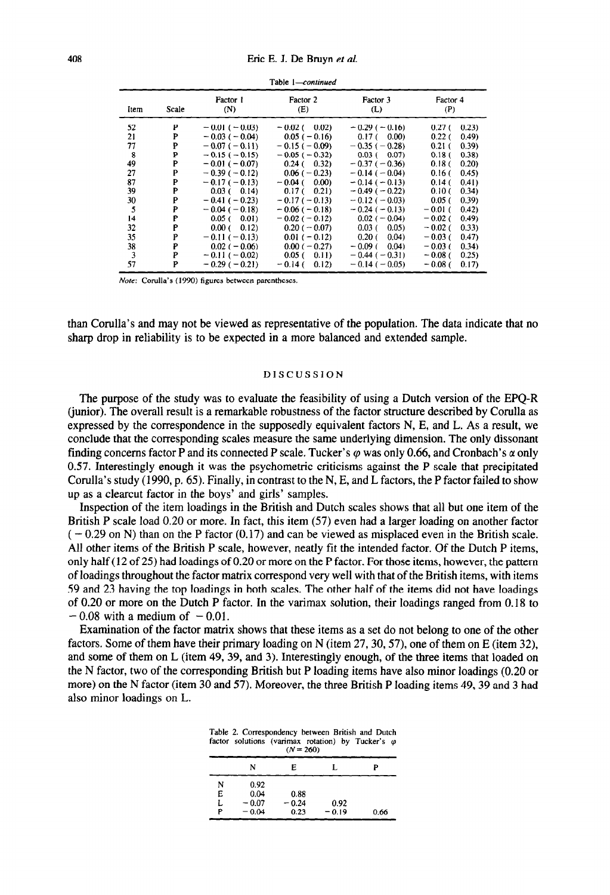| Item | Scale | Factor 1<br>(N)     | Factor 2<br>(E)     | Factor 3<br>(L)            | Factor 4<br>(P)             |
|------|-------|---------------------|---------------------|----------------------------|-----------------------------|
| 52   | P     | $-0.01(-0.03)$      | $-0.02$ ( 0.02)     | $-0.29(-0.16)$             | 0.23)<br>0.27(              |
| 21   | P     | $-0.03$ ( $-0.04$ ) | $0.05(-0.16)$       | $0.17$ ( $0.00$ )          | 0.22 <sub>0</sub><br>(0.49) |
| 77   | P     | $-0.07(-0.11)$      | $-0.15(-0.09)$      | $-0.35(-0.28)$             | 0.21 <sub>0</sub><br>(0.39) |
| 8    | P     | $-0.15(-0.15)$      | $-0.05$ ( $-0.32$ ) | $0.03$ ( $0.07$ )          | 0.38<br>0.18(               |
| 49   | P     | $-0.01(-0.07)$      | $0.24(-0.32)$       | $-0.37(-0.36)$             | 0.18 <sub>0</sub><br>0.20)  |
| 27   | P     | $-0.39(-0.12)$      | $0.06(-0.23)$       | $-0.14(-0.04)$             | 0.16(<br>(0.45)             |
| 87   | P     | $-0.17(-0.13)$      | $-0.04$ (<br>0.00   | $-0.14(-0.13)$             | 0.14(<br>0.41)              |
| 39   | P     | $0.03$ ( 0.14)      | $0.17(-0.21)$       | $-0.49(-0.22)$             | 0.10(<br>0.34)              |
| 30   | P     | $-0.41(-0.23)$      | $-0.17(-0.13)$      | $-0.12(-0.03)$             | 0.05(<br>(0.39)             |
| 5    | P     | $-0.04(-0.18)$      | $-0.06(-0.18)$      | $-0.24(-0.13)$             | $-0.01$ (<br>0.42)          |
| 14   | P     | 0.05(0.01)          | $-0.02(-0.12)$      | $0.02 (-0.04)$             | $-0.02$ (<br>(0.49)         |
| 32   | P     | $0.00(-0.12)$       | $0.20(-0.07)$       | $0.03$ (<br>0.05)          | $-0.02$ (<br>(0.33)         |
| 35   | P     | $-0.11(-0.13)$      | $0.01 (-0.12)$      | 0.04)<br>0.20 <sub>0</sub> | $-0.03($<br>0.47            |
| 38   | P     | $0.02 (-0.06)$      | $0.00 (-0.27)$      | $-0.09$ ( 0.04)            | $-0.03$ (<br>(0.34)         |
| 3    | P     | $-0.11(-0.02)$      | $0.05$ (<br>0.11)   | $-0.44$ ( $-0.31$ )        | $-0.08$ (<br>0.25)          |
| 57   | P     | $-0.29(-0.21)$      | $-0.14$ (<br>0.12)  | $-0.14(-0.05)$             | $-0.08$ (<br>0.17)          |

Table *I-continued* 

Note: Corulla's (1990) figures between parentheses.

than Corulla's and may not be viewed as representative of the population. The data indicate that no sharp drop in reliability is to be expected in a more balanced and extended sample.

### DISCUSSION

The purpose of the study was to evaluate the feasibility of using a Dutch version of the EPQ-R (junior). The overall result is a remarkable robustness of the factor structure described by Corulla as expressed by the correspondence in the supposedly equivalent factors N, E, and L. As a result, we conclude that the corresponding scales measure the same underlying dimension. The only dissonant finding concerns factor P and its connected P scale. Tucker's  $\varphi$  was only 0.66, and Cronbach's  $\alpha$  only 0.57. Interestingly enough it was the psychometric criticisms against the P scale that precipitated Corulla's study (1990, p. 65). Finally, in contrast to the N, E, and L factors, the P factor failed to show up as a clearcut factor in the boys' and girls' samples.

Inspection of the item loadings in the British and Dutch scales shows that all but one item of the British P scale load 0.20 or more. In fact, this item (57) even had a larger loading on another factor  $(-0.29 \text{ on N})$  than on the P factor  $(0.17)$  and can be viewed as misplaced even in the British scale. All other items of the British P scale, however, neatly fit the intended factor. Of the Dutch P items, only half (12 of 25) had loadings of 0.20 or more on the P factor. For those items, however, the pattern of loadings throughout the factor matrix correspond very well with that of the British items, with items 59 and 23 having the top loadings in both scales. The other half of the items did not have loadings of 0.20 or more on the Dutch P factor. In the varimax solution, their loadings ranged from 0.18 to  $-0.08$  with a medium of  $-0.01$ .

Examination of the factor matrix shows that these items as a set do not belong to one of the other factors. Some of them have their primary loading on N (item 27,30,57), one of them on E (item 32), and some of them on L (item 49, 39, and 3). Interestingly enough, of the three items that loaded on the N factor, two of the corresponding British but P loading items have also minor loadings (0.20 or more) on the N factor (item 30 and 57). Moreover, the three British P loading items 49,39 and 3 had also minor loadings on L.

|        |                    | $(N = 260)$     | factor solutions (varimax rotation) by Tucker's $\varphi$ |      |
|--------|--------------------|-----------------|-----------------------------------------------------------|------|
|        | N                  | Е               |                                                           | P    |
| N<br>Е | 0.92<br>0.04       | 0.88            |                                                           |      |
| L<br>P | $-0.07$<br>$-0.04$ | $-0.24$<br>0.23 | 0.92<br>$-0.19$                                           | 0.66 |

| Table 2. Correspondency between British and Dutch         |             |  |  |
|-----------------------------------------------------------|-------------|--|--|
| factor solutions (varimax rotation) by Tucker's $\varphi$ |             |  |  |
|                                                           | $(N = 260)$ |  |  |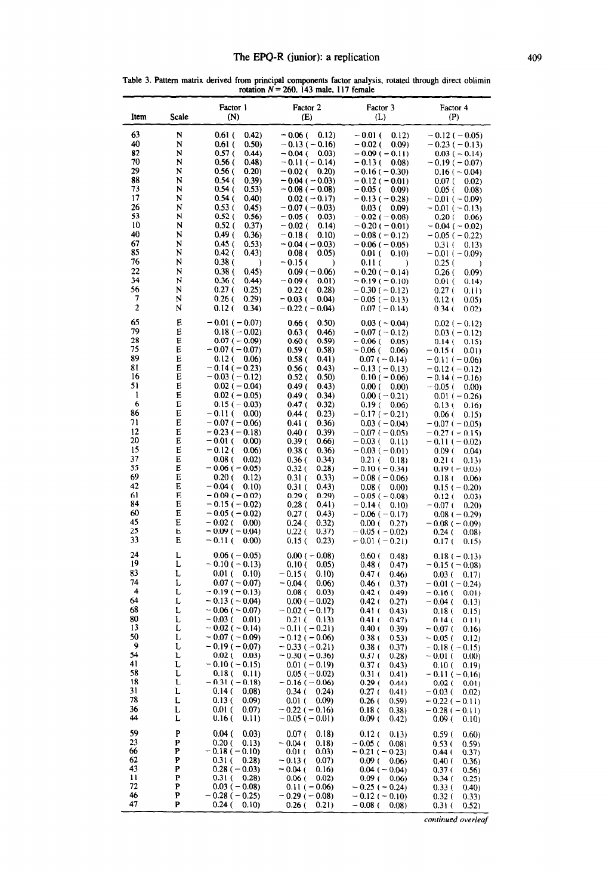Table 3. Pattern matrix derived from principal components factor analysis, rotated through direct oblimin rotation  $N = 260$ , 143 male, 117 female  $\overline{\phantom{a}}$ 

| Item                                                                                                                                             | Scale                                                                                                                     | Factor 1<br>(N)                                                                                                                                                                                                                                                                                                                                                                                                                                                                                                           | Factor 2<br>(E)                                                                                                                                                                                                                                                                                                                                                                                                                                                                                  | Factor 3<br>(L)                                                                                                                                                                                                                                                                                                                                                                                                                                                                           | Factor 4<br>(P)                                                                                                                                                                                                                                                                                                                                                                                                                                                                           |
|--------------------------------------------------------------------------------------------------------------------------------------------------|---------------------------------------------------------------------------------------------------------------------------|---------------------------------------------------------------------------------------------------------------------------------------------------------------------------------------------------------------------------------------------------------------------------------------------------------------------------------------------------------------------------------------------------------------------------------------------------------------------------------------------------------------------------|--------------------------------------------------------------------------------------------------------------------------------------------------------------------------------------------------------------------------------------------------------------------------------------------------------------------------------------------------------------------------------------------------------------------------------------------------------------------------------------------------|-------------------------------------------------------------------------------------------------------------------------------------------------------------------------------------------------------------------------------------------------------------------------------------------------------------------------------------------------------------------------------------------------------------------------------------------------------------------------------------------|-------------------------------------------------------------------------------------------------------------------------------------------------------------------------------------------------------------------------------------------------------------------------------------------------------------------------------------------------------------------------------------------------------------------------------------------------------------------------------------------|
| 63<br>40<br>82<br>70<br>29<br>88<br>73<br>17<br>26<br>53<br>10<br>40<br>67<br>85<br>76<br>22<br>34<br>56<br>7<br>$\overline{2}$                  | N<br>N<br>N<br>N<br>N<br>N<br>N<br>N<br>N<br>N<br>N<br>N<br>N<br>N<br>N<br>N<br>N<br>N<br>N<br>N                          | $0.61$ (<br>0.42)<br>0.61 (<br>0.50)<br>0.57(<br>(0.44)<br>0.56 (<br>(0.48)<br>0.56(<br>0.20)<br>0.54 (<br>(0.39)<br>0.54 (<br>(0.53)<br>0.54 (<br>(0.40)<br>0.53 (<br>0.45)<br>0.52(<br>0.56)<br>0.52(<br>0.37)<br>0.49 (<br>0.36<br>0.45 (<br>0.53)<br>0.42 (<br>(0.43)<br>0.38(<br>)<br>0.38 (<br>0.45)<br>0.36 (<br>0.44)<br>0.27(<br>0.25)<br>0.26(<br>0.29)<br>0.12(<br>(0.34)                                                                                                                                      | $-0.06$ (<br>0.12)<br>$-0.13(-0.16)$<br>$-0.04$ (<br>0.03)<br>$-0.11(-0.14)$<br>$-0.02$ (<br>0.20)<br>$-0.04$ ( $-0.03$ )<br>$-0.08$ ( $-0.08$ )<br>$0.02 (-0.17)$<br>$-0.07(-0.03)$<br>$-0.05$ (<br>0.03)<br>$-0.02$ (<br>0.14)<br>$-0.18$ (<br>0.10<br>$-0.04(-0.03)$<br>0.08 <sub>0</sub><br>0.05)<br>$-0.15$ (<br>€<br>$0.09$ ( $-0.06$ )<br>$-0.09$ (<br>0.01)<br>0.22 <sub>0</sub><br>0.28)<br>- 0.03 (<br>0.04)<br>$-0.22$ ( $-0.04$ )                                                    | $-0.01$ (<br>0.12)<br>$-0.02$ (<br>0.09)<br>$-0.09(-0.11)$<br>$-0.13$ (<br>0.08<br>$-0.16(-0.30)$<br>$-0.12$ ( $-0.01$ )<br>$-0.05$ (<br>0.09)<br>$-0.13$ ( $-0.28$ )<br>0.03(<br>0.09<br>$-0.02$ ( $-0.08$ )<br>$-0.20(-0.01)$<br>$-0.08$ ( $-0.12$ )<br>$-0.06$ ( $-0.05$ )<br>$0.01$ (<br>0.10)<br>0.11(<br>$\lambda$<br>$-0.20(-0.14)$<br>$-0.19(-0.10)$<br>$-0.30(-0.12)$<br>$-0.05(-0.13)$<br>$0.07(-0.14)$                                                                         | $-0.12$ ( $-0.05$ )<br>$-0.23(-0.13)$<br>$0.03(-0.14)$<br>$-0.19(-0.07)$<br>$0.16(-0.04)$<br>0.07(<br>0.02)<br>0.05(<br>0.08<br>$-0.01$ ( $-0.09$ )<br>$-0.01(-0.13)$<br>$0.20(-0.06)$<br>$-0.04$ ( $-0.02$ )<br>$-0.05$ ( $-0.22$ )<br>0.31(<br>0.13)<br>$-0.01(-0.09)$<br>0.25(<br>)<br>0.26(<br>0.09)<br>0.01(<br>0.14)<br>0.27(<br>0.11)<br>0.12 (<br>0.05)<br>0.34 (<br>0.02)                                                                                                        |
| 65<br>79<br>28<br>75<br>89<br>81<br>16<br>51<br>1<br>6<br>86<br>71<br>12<br>20<br>15<br>37<br>55<br>69<br>42<br>61<br>84<br>60<br>45<br>25<br>33 | Е<br>Е<br>E<br>E<br>Е<br>E<br>E<br>E<br>E<br>E<br>E<br>E<br>Е<br>E<br>E<br>E<br>Е<br>E<br>E<br>E<br>E<br>E<br>E<br>Е<br>Е | $-0.01$ ( $-0.07$ )<br>$0.18 (-0.02)$<br>$0.07(-0.09)$<br>$-0.07(-0.07)$<br>$0.12$ (<br>0.06)<br>$-0.14$ ( $-0.23$ )<br>$-0.03(-0.12)$<br>$0.02 (-0.04)$<br>$0.02 (-0.05)$<br>$-0.15$ ( $-0.03$ )<br>$-0.11(-0.00)$<br>$-0.07$ ( $-0.06$ )<br>$-0.23(-0.18)$<br>$-0.01$ (<br>0.00)<br>$-0.12$ (<br>0.06)<br>$0.08$ (<br>0.02<br>$-0.06$ ( $-0.05$ )<br>0.20(<br>0.12)<br>$-0.04$ (<br>0.10<br>$-0.09(-0.02)$<br>$-0.15$ ( $-0.02$ )<br>$-0.05$ ( $-0.02$ )<br>$-0.02$ (<br>0.00)<br>$-0.09(-0.04)$<br>$-0.11$ (<br>(0.00) | $0.66$ (<br>0.50)<br>0.46)<br>0.63(<br>0.60(<br>0.59)<br>0.59(<br>0.58)<br>0.58 <sub>0</sub><br>0.41)<br>0.56 (<br>(0.43)<br>0.52(<br>0.50)<br>0.49 (<br>(0.43)<br>0.34)<br>0.49 (<br>0.47 (<br>0.32)<br>0.44 (<br>0.23)<br>$0.41$ (<br>0.36)<br>0.40(<br>(0.39)<br>0.39(<br>0.66)<br>0.38(<br>0.36)<br>0.36(<br>(0.34)<br>0.28)<br>0.32(<br>0.31(<br>(0.33)<br>$0.31$ (<br>(0.43)<br>0.29(<br>0.29)<br>0.28(<br>0.41)<br>0.27(<br>(0.43)<br>0.24(<br>0.32)<br>0.22(<br>0.37)<br>0.15(<br>(0.23) | $0.03(-0.04)$<br>$-0.07(-0.12)$<br>$-0.06$ (<br>0.05)<br>$-0.06$ (<br>0.06<br>$0.07 (-0.14)$<br>$-0.13(-0.13)$<br>$0.10 (-0.06)$<br>0.00(<br>0.00<br>$0.00 (-0.21)$<br>0.19(<br>0.06)<br>$-0.17(-0.21)$<br>$0.03(-0.04)$<br>$-0.07(-0.05)$<br>$-0.03$ (<br>0.11)<br>$-0.03(-0.01)$<br>$0.21$ (<br>0.18<br>$-0.10(-0.34)$<br>$-0.08 (-0.06)$<br>$0.08$ (<br>0.00)<br>$-0.05$ ( $-0.08$ )<br>$-0.14$ (<br>0.10<br>$-0.06(-0.17)$<br>0.00(<br>0.27)<br>$-0.05$ ( $-0.02$ )<br>$-0.01(-0.21)$ | $0.02 (-0.12)$<br>$0.03(-0.12)$<br>0.14(<br>0.15)<br>$-0.15$ (<br>0.01)<br>$-0.11(-0.06)$<br>$-0.12(-0.12)$<br>$-0.14(-0.16)$<br>$-0.05$ (<br>0.00)<br>$0.01 (-0.26)$<br>0.13 (<br>0.16)<br>0.06 (<br>0.15<br>$-0.07 (-0.05)$<br>$-0.27(-0.15)$<br>$-0.11(-0.02)$<br>0.09(<br>(0.04)<br>0.21 <sub>0</sub><br>0.13)<br>$0.19(-0.03)$<br>0.18(<br>0.06<br>$0.15 (-0.20)$<br>0.12(<br>0.03)<br>$-0.07$ (<br>0.20)<br>$0.08(-0.29)$<br>$-0.08$ ( $-0.09$ )<br>0.24(<br>0.08<br>0.17(<br>0.15) |
| 24<br>19<br>83<br>74<br>4<br>64<br>68<br>80<br>13<br>50<br>9<br>54<br>41<br>58<br>18<br>31<br>78<br>36<br>44                                     | L<br>L<br>L<br>L<br>L<br>L<br>L<br>L<br>L<br>L<br>L<br>L<br>L<br>L<br>L<br>L<br>L<br>L<br>L                               | $0.06$ ( $-0.05$ )<br>$-0.10(-0.13)$<br>$0.01$ (<br>0.10)<br>$0.07 (-0.07)$<br>$-0.19(-0.13)$<br>$-0.13(-0.04)$<br>$-0.06$ ( $-0.07$ )<br>$-0.03$ (<br>0.01<br>$-0.02$ ( $-0.14$ )<br>$-0.07(-0.09)$<br>$-0.19(-0.07)$<br>0.02 (<br>0.03)<br>$-0.10(-0.15)$<br>0.18 (<br>0.11)<br>$-0.31(-0.18)$<br>0.14(<br>(0.08)<br>0.13(<br>0.09)<br>$0.01$ (<br>0.07)<br>0.16(<br>0.11)                                                                                                                                              | $0.00 (-0.08)$<br>0.10(<br>0.05)<br>$-0.15$ (<br>0.10)<br>$-0.04$ (<br>0.06)<br>0.08 <sub>0</sub><br>0.03<br>$0.00 (-0.02)$<br>$-0.02(-0.17)$<br>$0.21$ (<br>0.13)<br>$-0.11(-0.21)$<br>$-0.12$ ( $-0.06$ )<br>$-0.33(-0.21)$<br>$-0.30(-0.36)$<br>$0.01 (-0.19)$<br>$0.05(-0.02)$<br>$-0.16(-0.06)$<br>$0.34$ (<br>0.24)<br>0.09)<br>0.01 (<br>$-0.22$ ( $-0.16$ )<br>$-0.05(-0.01)$                                                                                                            | 0.60(<br>0.48<br>0.48(<br>(0.47)<br>0.47 (<br>0.46)<br>0.46 (<br>0.37)<br>0.42(<br>0.49)<br>$0.42$ (<br>0.27)<br>0.41(<br>(0.43)<br>0.41(<br>(0.47)<br>0.40(<br>0.39)<br>0.38(<br>0.53)<br>0.38(<br>0.37)<br>0.37(<br>0.28)<br>0.37(<br>(0.43)<br>0.31(<br>0.41)<br>0.29(<br>0.44)<br>0.27(<br>0.41)<br>0.26(<br>0.59)<br>0.18(<br>(0.38)<br>0.09(<br>(0.42)                                                                                                                              | $0.18(-0.13)$<br>$-0.15(-0.08)$<br>0.03(<br>0.17)<br>$-0.01$ ( $-0.24$ )<br>$-0.16$ (<br>0.01)<br>$-0.04$ ( 0.13)<br>0.18 (<br>0.15)<br>0.14(<br>0.11)<br>$-0.07$ (<br>0.16)<br>$-0.05$ (<br>0.12)<br>$-0.18(-0.15)$<br>$-0.01$ (<br>0.00)<br>0.10(<br>0.19)<br>$-0.11(-0.16)$<br>0.02(<br>0.01)<br>$-0.03$ (<br>0.02)<br>$-0.22(-0.11)$<br>$-0.28(-0.11)$<br>0.09(<br>0.10)                                                                                                              |
| 59<br>23<br>66<br>62<br>43<br>11<br>72<br>46<br>47                                                                                               | P<br>P<br>P<br>P<br>P<br>P<br>P<br>P<br>P                                                                                 | 0.04(<br>0.03)<br>0.20(<br>0.13)<br>$-0.18(-0.10)$<br>0.31(<br>(0.28)<br>$0.28(-0.03)$<br>0.31(<br>0.28<br>$0.03$ ( $-0.08$ )<br>$-0.28(-0.25)$<br>0.24 (<br>0.10)                                                                                                                                                                                                                                                                                                                                                        | 0.07(<br>0.18)<br>$-0.04$ (<br>0.18<br>0.01(<br>0.03)<br>$-0.13$ (<br>0.07)<br>$-0.04$ (<br>0.16)<br>0.06(<br>0.02)<br>$0.11 (-0.06)$<br>$-0.29(-0.08)$<br>0.26(<br>0.21)                                                                                                                                                                                                                                                                                                                        | 0.12(<br>0.13)<br>$-0.05$ (<br>0.08<br>$-0.21(-0.23)$<br>0.09(<br>0.06)<br>$0.04 (-0.04)$<br>$0.09$ (<br>0.06<br>$-0.25$ ( $-0.24$ )<br>$-0.12$ ( $-0.10$ )<br>$-0.08$ (<br>0.08                                                                                                                                                                                                                                                                                                          | 0.59(<br>0.60)<br>0.53(<br>(0.59)<br>0.44(<br>0.37)<br>0.40(<br>(0.36)<br>0.37(<br>0.56)<br>0.34(<br>0.25)<br>0.33(<br>(0.40)<br>0.32(<br>0.33)<br>0.31(<br>0.52)                                                                                                                                                                                                                                                                                                                         |

*continued overleaf*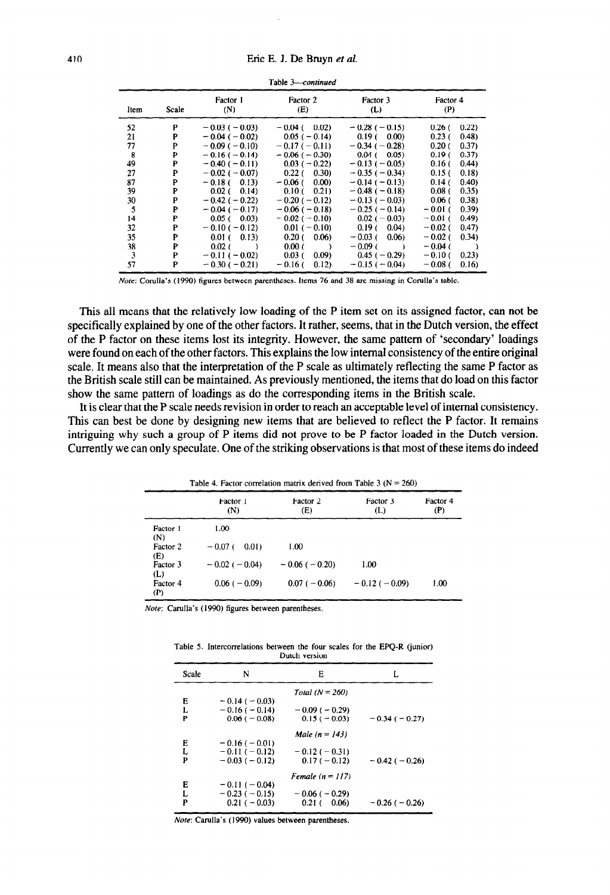| Item | Scale | Factor 1<br>(N)     | Factor 2<br>(E)     | Factor 3<br>(L)     | Factor 4<br>(P)             |
|------|-------|---------------------|---------------------|---------------------|-----------------------------|
| 52   | Р     | $-0.03$ ( $-0.03$ ) | $-0.04$ ( 0.02)     | $-0.28(-0.15)$      | 0.22<br>0.26(               |
| 21   | P     | $-0.04$ ( $-0.02$ ) | $0.05(-0.14)$       | $0.19(-0.00)$       | 0.23(<br>(0.48)             |
| 77   | P     | $-0.09(-0.10)$      | $-0.17(-0.11)$      | $-0.34$ ( $-0.28$ ) | 0.20 <sub>0</sub><br>0.37)  |
| 8    | P     | $-0.16(-0.14)$      | $-0.06(-0.30)$      | $0.04$ ( $0.05$ )   | 0.19(<br>(0.37)             |
| 49   | P     | $-0.40(-0.11)$      | $0.03(-0.22)$       | $-0.13(-0.05)$      | (0.44)<br>0.16(             |
| 27   | P     | $-0.02$ ( $-0.07$ ) | $0.22(-0.30)$       | $-0.35(-0.34)$      | 0.15(<br>(0.18)             |
| 87   | P     | $-0.18$ ( 0.13)     | $-0.06$ ( 0.00)     | $-0.14(-0.13)$      | 0.14(f)<br>(0.40)           |
| 39   | P     | $0.02$ ( 0.14)      | $0.10(-0.21)$       | $-0.48$ ( $-0.18$ ) | 0.08 <sub>0</sub><br>(0.35) |
| 30   | P     | $-0.42(-0.22)$      | $-0.20(-0.12)$      | $-0.13(-0.03)$      | 0.06(<br>(0.38)             |
| 5    | P     | $-0.04(-0.17)$      | $-0.06$ ( $-0.18$ ) | $-0.25(-0.14)$      | (0.39)<br>$-0.01$ (         |
| 14   | P     | 0.05(0.03)          | $-0.02$ ( $-0.10$ ) | $0.02 (-0.03)$      | (0.49)<br>$-0.01$ (         |
| 32   | P     | $-0.10(-0.12)$      | $0.01 (-0.10)$      | $0.19(-0.04)$       | $-0.02$ (<br>0.47)          |
| 35   | P     | $0.01(-0.13)$       | $0.20(-0.06)$       | $-0.03$ ( 0.06)     | $-0.02$ (<br>(0.34)         |
| 38   | P     | $0.02$ ( )          | 0.00(               | $-0.09$ ( )         | $-0.04$ (                   |
| 3    | P     | $-0.11(-0.02)$      | 0.03(<br>(0.09)     | $0.45(-0.29)$       | $-0.10($<br>0.23)           |
| 57   | P     | $-0.30(-0.21)$      | $-0.16$ (<br>0.12)  | $-0.15(-0.04)$      | $-0.08$ (<br>0.16)          |

**Table** *3--continued* 

Note: Corulla's (1990) figures between parentheses. Items 76 and 38 are missing in Corulla's table.

This all means that the relatively low loading of the P item set on its assigned factor, can not be specifically explained by one of the other factors. It rather, seems, that in the Dutch version, the effect of the P factor on these items lost its integrity. However, the same pattern of 'secondary' loadings were found on each of the other factors. This explains the low internal consistency of the entire original scale. It means also that the interpretation of the P scale as ultimately reflecting the same P factor as the British scale still can be maintained. As previously mentioned, the items that do load on this factor show the same pattern of loadings as do the corresponding items in the British scale.

It is clear that the P scale needs revision in order to reach an acceptable level of internal consistency. This can best be done by designing new items that are believed to reflect the P factor. It remains intriguing why such a group of P items did not prove to be P factor loaded in the Dutch version. Currently we can only speculate. One of the striking observations is that most of these items do indeed

|                 | Table 4. Factor correlation matrix derived from Table 3 ( $N = 260$ ) |                 |                 |                 |  |  |  |  |  |  |
|-----------------|-----------------------------------------------------------------------|-----------------|-----------------|-----------------|--|--|--|--|--|--|
|                 | Factor 1<br>(N)                                                       | Factor 2<br>(E) | Factor 3<br>(L) | Factor 4<br>(P) |  |  |  |  |  |  |
| Factor 1<br>(N) | 1.00                                                                  |                 |                 |                 |  |  |  |  |  |  |
| Factor 2<br>(E) | $-0.07$ (<br>0.01)                                                    | 1.00            |                 |                 |  |  |  |  |  |  |
| Factor 3<br>(L) | $-0.02$ ( $-0.04$ )                                                   | $-0.06(-0.20)$  | 1.00            |                 |  |  |  |  |  |  |
| Factor 4<br>(P) | $0.06$ ( $-0.09$ )                                                    | $0.07(-0.06)$   | $-0.12(-0.09)$  | 1.00            |  |  |  |  |  |  |

Note: Carulla's (1990) figures between parentheses

Table 5. Intercorrelations between the four scales for the EPQ-R (junior) Dutch version

| Scale | N                   | E                   | L                   |
|-------|---------------------|---------------------|---------------------|
|       |                     | Total $(N = 260)$   |                     |
| Е     | $-0.14$ ( $-0.03$ ) |                     |                     |
| L     | $-0.16(-0.14)$      | $-0.09$ ( $-0.29$ ) |                     |
| P     | $0.06$ ( $-0.08$ )  | $0.15(-0.03)$       | $-0.34(-0.27)$      |
|       |                     | Male $(n = 143)$    |                     |
| Е     | $-0.16(-0.01)$      |                     |                     |
| L     | $-0.11(-0.12)$      | $-0.12(-0.31)$      |                     |
| P     | $-0.03(-0.12)$      | $0.17(-0.12)$       | $-0.42$ ( $-0.26$ ) |
|       |                     | Female $(n = 117)$  |                     |
| Е     | $-0.11(-0.04)$      |                     |                     |
| L     | $-0.23(-0.15)$      | $-0.06$ ( $-0.29$ ) |                     |
| P     | $0.21(-0.03)$       | 0.21(0.06)          | $-0.26$ ( $-0.26$ ) |
|       |                     |                     |                     |

Note: Carulla's (1990) values between parentheses.